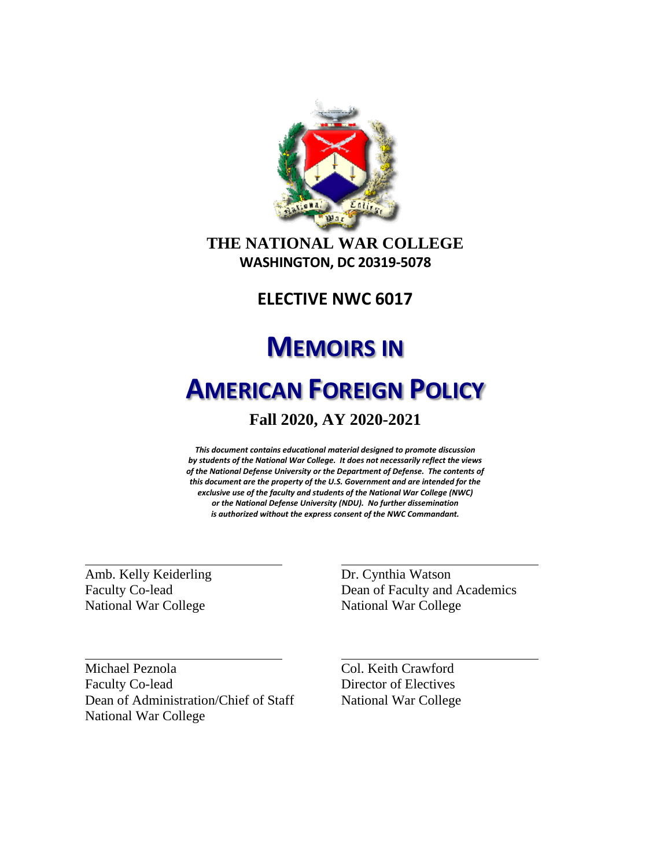

# **THE NATIONAL WAR COLLEGE WASHINGTON, DC 20319-5078**

# **ELECTIVE NWC 6017**

# **MEMOIRS IN**

# **AMERICAN FOREIGN POLICY**

# **Fall 2020, AY 2020-2021**

*This document contains educational material designed to promote discussion by students of the National War College. It does not necessarily reflect the views of the National Defense University or the Department of Defense. The contents of this document are the property of the U.S. Government and are intended for the exclusive use of the faculty and students of the National War College (NWC) or the National Defense University (NDU). No further dissemination is authorized without the express consent of the NWC Commandant.*

Amb. Kelly Keiderling Faculty Co-lead National War College

Dr. Cynthia Watson Dean of Faculty and Academics National War College

Michael Peznola Faculty Co-lead Dean of Administration/Chief of Staff National War College

Col. Keith Crawford Director of Electives National War College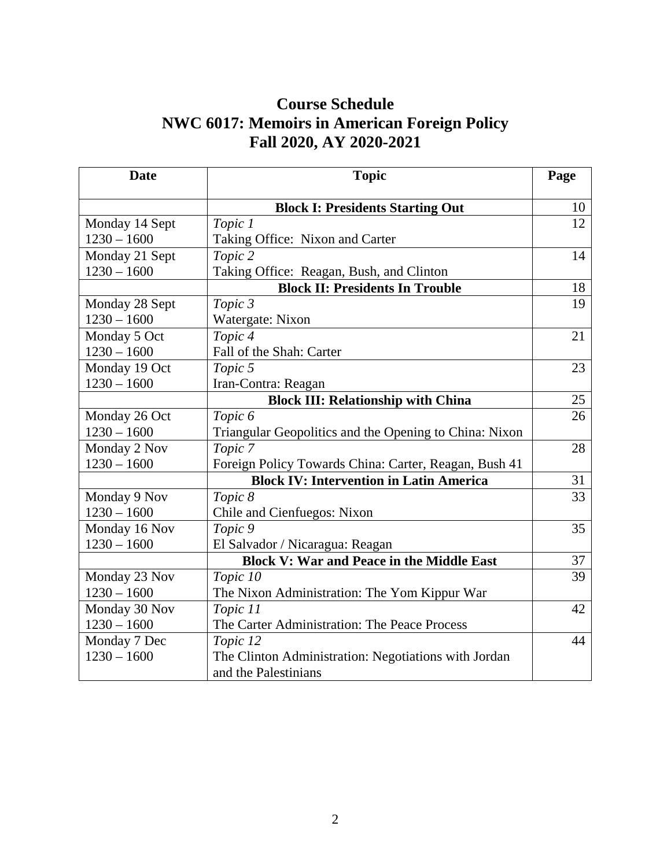# **Course Schedule NWC 6017: Memoirs in American Foreign Policy Fall 2020, AY 2020-2021**

| <b>Date</b>    | <b>Topic</b>                                           | Page |
|----------------|--------------------------------------------------------|------|
|                | <b>Block I: Presidents Starting Out</b>                | 10   |
| Monday 14 Sept | Topic 1                                                | 12   |
| $1230 - 1600$  | Taking Office: Nixon and Carter                        |      |
| Monday 21 Sept | Topic 2                                                | 14   |
| $1230 - 1600$  | Taking Office: Reagan, Bush, and Clinton               |      |
|                | <b>Block II: Presidents In Trouble</b>                 | 18   |
| Monday 28 Sept | Topic 3                                                | 19   |
| $1230 - 1600$  | Watergate: Nixon                                       |      |
| Monday 5 Oct   | Topic 4                                                | 21   |
| $1230 - 1600$  | Fall of the Shah: Carter                               |      |
| Monday 19 Oct  | Topic 5                                                | 23   |
| $1230 - 1600$  | Iran-Contra: Reagan                                    |      |
|                | <b>Block III: Relationship with China</b>              | 25   |
| Monday 26 Oct  | Topic 6                                                | 26   |
| $1230 - 1600$  | Triangular Geopolitics and the Opening to China: Nixon |      |
| Monday 2 Nov   | Topic 7                                                | 28   |
| $1230 - 1600$  | Foreign Policy Towards China: Carter, Reagan, Bush 41  |      |
|                | <b>Block IV: Intervention in Latin America</b>         | 31   |
| Monday 9 Nov   | Topic 8                                                | 33   |
| $1230 - 1600$  | Chile and Cienfuegos: Nixon                            |      |
| Monday 16 Nov  | Topic 9                                                | 35   |
| $1230 - 1600$  | El Salvador / Nicaragua: Reagan                        |      |
|                | <b>Block V: War and Peace in the Middle East</b>       | 37   |
| Monday 23 Nov  | Topic 10                                               | 39   |
| $1230 - 1600$  | The Nixon Administration: The Yom Kippur War           |      |
| Monday 30 Nov  | Topic 11                                               | 42   |
| $1230 - 1600$  | The Carter Administration: The Peace Process           |      |
| Monday 7 Dec   | Topic 12                                               | 44   |
| $1230 - 1600$  | The Clinton Administration: Negotiations with Jordan   |      |
|                | and the Palestinians                                   |      |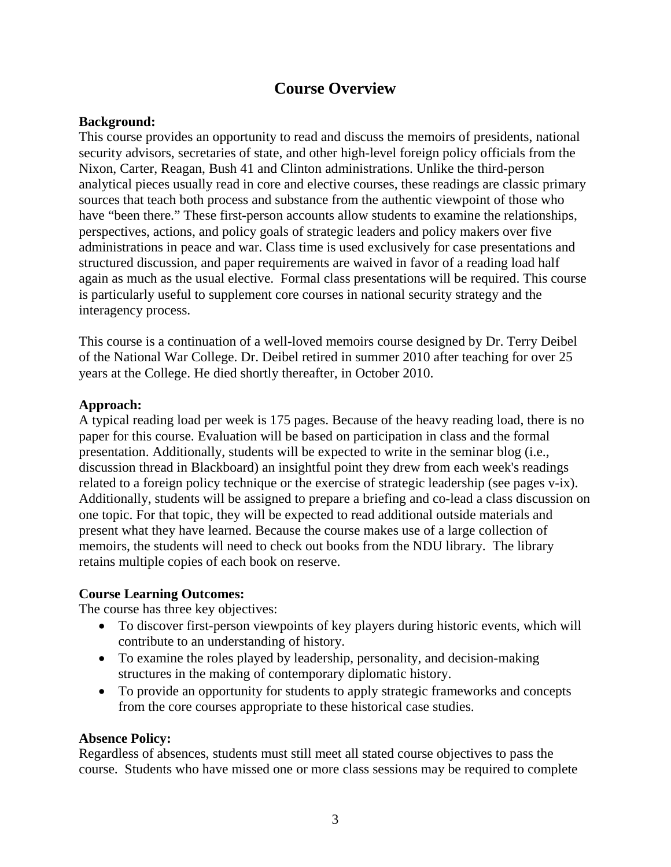# **Course Overview**

#### **Background:**

This course provides an opportunity to read and discuss the memoirs of presidents, national security advisors, secretaries of state, and other high-level foreign policy officials from the Nixon, Carter, Reagan, Bush 41 and Clinton administrations. Unlike the third-person analytical pieces usually read in core and elective courses, these readings are classic primary sources that teach both process and substance from the authentic viewpoint of those who have "been there." These first-person accounts allow students to examine the relationships, perspectives, actions, and policy goals of strategic leaders and policy makers over five administrations in peace and war. Class time is used exclusively for case presentations and structured discussion, and paper requirements are waived in favor of a reading load half again as much as the usual elective. Formal class presentations will be required. This course is particularly useful to supplement core courses in national security strategy and the interagency process.

This course is a continuation of a well-loved memoirs course designed by Dr. Terry Deibel of the National War College. Dr. Deibel retired in summer 2010 after teaching for over 25 years at the College. He died shortly thereafter, in October 2010.

#### **Approach:**

A typical reading load per week is 175 pages. Because of the heavy reading load, there is no paper for this course. Evaluation will be based on participation in class and the formal presentation. Additionally, students will be expected to write in the seminar blog (i.e., discussion thread in Blackboard) an insightful point they drew from each week's readings related to a foreign policy technique or the exercise of strategic leadership (see pages v-ix). Additionally, students will be assigned to prepare a briefing and co-lead a class discussion on one topic. For that topic, they will be expected to read additional outside materials and present what they have learned. Because the course makes use of a large collection of memoirs, the students will need to check out books from the NDU library. The library retains multiple copies of each book on reserve.

#### **Course Learning Outcomes:**

The course has three key objectives:

- To discover first-person viewpoints of key players during historic events, which will contribute to an understanding of history.
- To examine the roles played by leadership, personality, and decision-making structures in the making of contemporary diplomatic history.
- To provide an opportunity for students to apply strategic frameworks and concepts from the core courses appropriate to these historical case studies.

#### **Absence Policy:**

Regardless of absences, students must still meet all stated course objectives to pass the course. Students who have missed one or more class sessions may be required to complete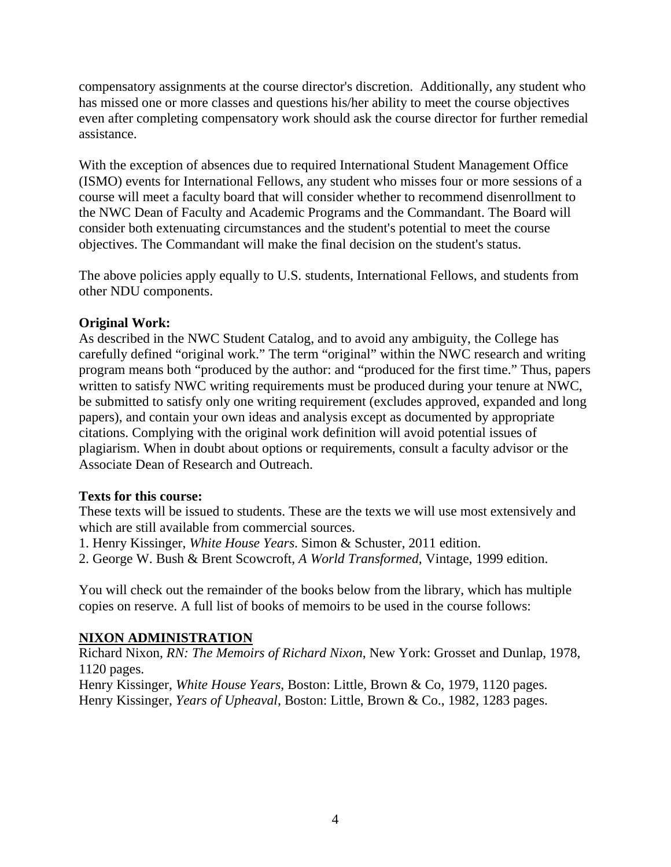compensatory assignments at the course director's discretion. Additionally, any student who has missed one or more classes and questions his/her ability to meet the course objectives even after completing compensatory work should ask the course director for further remedial assistance.

With the exception of absences due to required International Student Management Office (ISMO) events for International Fellows, any student who misses four or more sessions of a course will meet a faculty board that will consider whether to recommend disenrollment to the NWC Dean of Faculty and Academic Programs and the Commandant. The Board will consider both extenuating circumstances and the student's potential to meet the course objectives. The Commandant will make the final decision on the student's status.

The above policies apply equally to U.S. students, International Fellows, and students from other NDU components.

#### **Original Work:**

As described in the NWC Student Catalog, and to avoid any ambiguity, the College has carefully defined "original work." The term "original" within the NWC research and writing program means both "produced by the author: and "produced for the first time." Thus, papers written to satisfy NWC writing requirements must be produced during your tenure at NWC, be submitted to satisfy only one writing requirement (excludes approved, expanded and long papers), and contain your own ideas and analysis except as documented by appropriate citations. Complying with the original work definition will avoid potential issues of plagiarism. When in doubt about options or requirements, consult a faculty advisor or the Associate Dean of Research and Outreach.

#### **Texts for this course:**

These texts will be issued to students. These are the texts we will use most extensively and which are still available from commercial sources.

1. Henry Kissinger, *White House Years*. Simon & Schuster, 2011 edition.

2. George W. Bush & Brent Scowcroft, *A World Transformed*, Vintage, 1999 edition.

You will check out the remainder of the books below from the library, which has multiple copies on reserve. A full list of books of memoirs to be used in the course follows:

### **NIXON ADMINISTRATION**

Richard Nixon, *RN: The Memoirs of Richard Nixon*, New York: Grosset and Dunlap, 1978, 1120 pages.

Henry Kissinger, *White House Years*, Boston: Little, Brown & Co, 1979, 1120 pages. Henry Kissinger, *Years of Upheaval*, Boston: Little, Brown & Co., 1982, 1283 pages.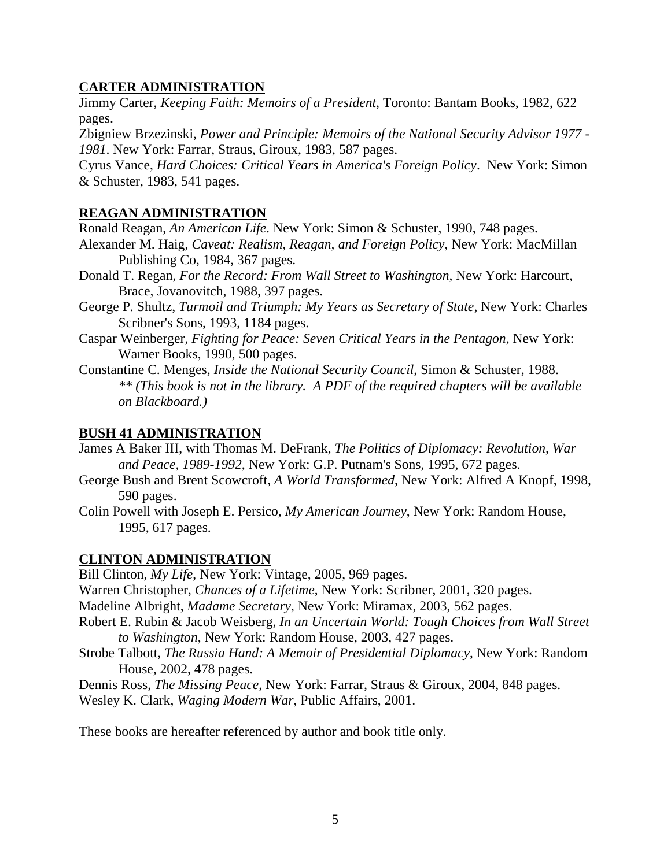### **CARTER ADMINISTRATION**

Jimmy Carter, *Keeping Faith: Memoirs of a President*, Toronto: Bantam Books, 1982, 622 pages.

Zbigniew Brzezinski, *Power and Principle: Memoirs of the National Security Advisor 1977 - 1981*. New York: Farrar, Straus, Giroux, 1983, 587 pages.

Cyrus Vance, *Hard Choices: Critical Years in America's Foreign Policy*. New York: Simon & Schuster, 1983, 541 pages.

#### **REAGAN ADMINISTRATION**

Ronald Reagan, *An American Life*. New York: Simon & Schuster, 1990, 748 pages.

- Alexander M. Haig, *Caveat: Realism, Reagan, and Foreign Policy*, New York: MacMillan Publishing Co, 1984, 367 pages.
- Donald T. Regan, *For the Record: From Wall Street to Washington*, New York: Harcourt, Brace, Jovanovitch, 1988, 397 pages.
- George P. Shultz, *Turmoil and Triumph: My Years as Secretary of State*, New York: Charles Scribner's Sons, 1993, 1184 pages.
- Caspar Weinberger, *Fighting for Peace: Seven Critical Years in the Pentagon*, New York: Warner Books, 1990, 500 pages.

Constantine C. Menges, *Inside the National Security Council*, Simon & Schuster, 1988. *\*\* (This book is not in the library. A PDF of the required chapters will be available on Blackboard.)*

#### **BUSH 41 ADMINISTRATION**

- James A Baker III, with Thomas M. DeFrank, *The Politics of Diplomacy: Revolution, War and Peace, 1989-1992*, New York: G.P. Putnam's Sons, 1995, 672 pages.
- George Bush and Brent Scowcroft, *A World Transformed*, New York: Alfred A Knopf, 1998, 590 pages.
- Colin Powell with Joseph E. Persico, *My American Journey*, New York: Random House, 1995, 617 pages.

### **CLINTON ADMINISTRATION**

Bill Clinton, *My Life*, New York: Vintage, 2005, 969 pages.

Warren Christopher, *Chances of a Lifetime*, New York: Scribner, 2001, 320 pages.

Madeline Albright, *Madame Secretary*, New York: Miramax, 2003, 562 pages.

- Robert E. Rubin & Jacob Weisberg, *In an Uncertain World: Tough Choices from Wall Street to Washington*, New York: Random House, 2003, 427 pages.
- Strobe Talbott, *The Russia Hand: A Memoir of Presidential Diplomacy*, New York: Random House, 2002, 478 pages.

Dennis Ross, *The Missing Peace*, New York: Farrar, Straus & Giroux, 2004, 848 pages. Wesley K. Clark, *Waging Modern War*, Public Affairs, 2001.

These books are hereafter referenced by author and book title only.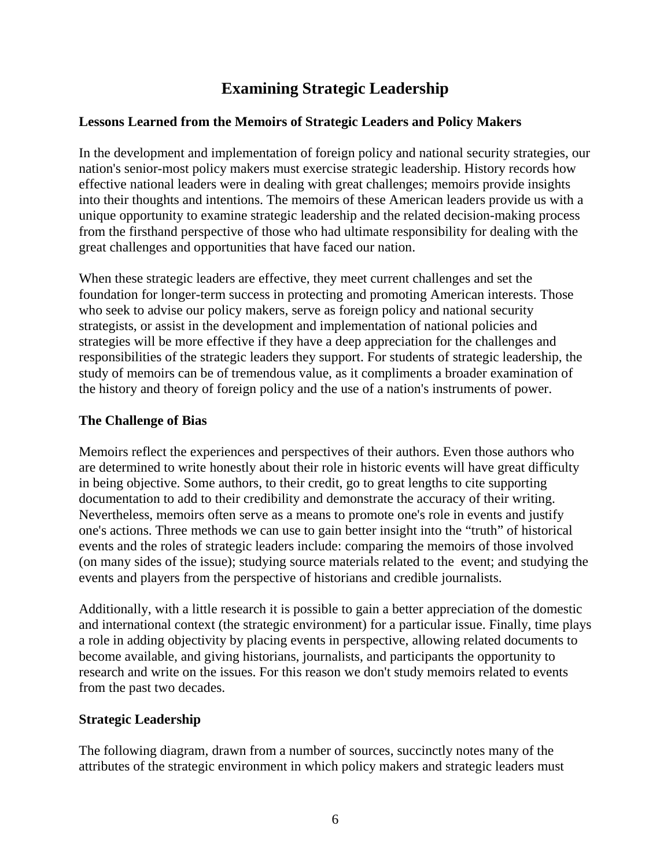# **Examining Strategic Leadership**

### **Lessons Learned from the Memoirs of Strategic Leaders and Policy Makers**

In the development and implementation of foreign policy and national security strategies, our nation's senior-most policy makers must exercise strategic leadership. History records how effective national leaders were in dealing with great challenges; memoirs provide insights into their thoughts and intentions. The memoirs of these American leaders provide us with a unique opportunity to examine strategic leadership and the related decision-making process from the firsthand perspective of those who had ultimate responsibility for dealing with the great challenges and opportunities that have faced our nation.

When these strategic leaders are effective, they meet current challenges and set the foundation for longer-term success in protecting and promoting American interests. Those who seek to advise our policy makers, serve as foreign policy and national security strategists, or assist in the development and implementation of national policies and strategies will be more effective if they have a deep appreciation for the challenges and responsibilities of the strategic leaders they support. For students of strategic leadership, the study of memoirs can be of tremendous value, as it compliments a broader examination of the history and theory of foreign policy and the use of a nation's instruments of power.

#### **The Challenge of Bias**

Memoirs reflect the experiences and perspectives of their authors. Even those authors who are determined to write honestly about their role in historic events will have great difficulty in being objective. Some authors, to their credit, go to great lengths to cite supporting documentation to add to their credibility and demonstrate the accuracy of their writing. Nevertheless, memoirs often serve as a means to promote one's role in events and justify one's actions. Three methods we can use to gain better insight into the "truth" of historical events and the roles of strategic leaders include: comparing the memoirs of those involved (on many sides of the issue); studying source materials related to the event; and studying the events and players from the perspective of historians and credible journalists.

Additionally, with a little research it is possible to gain a better appreciation of the domestic and international context (the strategic environment) for a particular issue. Finally, time plays a role in adding objectivity by placing events in perspective, allowing related documents to become available, and giving historians, journalists, and participants the opportunity to research and write on the issues. For this reason we don't study memoirs related to events from the past two decades.

#### **Strategic Leadership**

The following diagram, drawn from a number of sources, succinctly notes many of the attributes of the strategic environment in which policy makers and strategic leaders must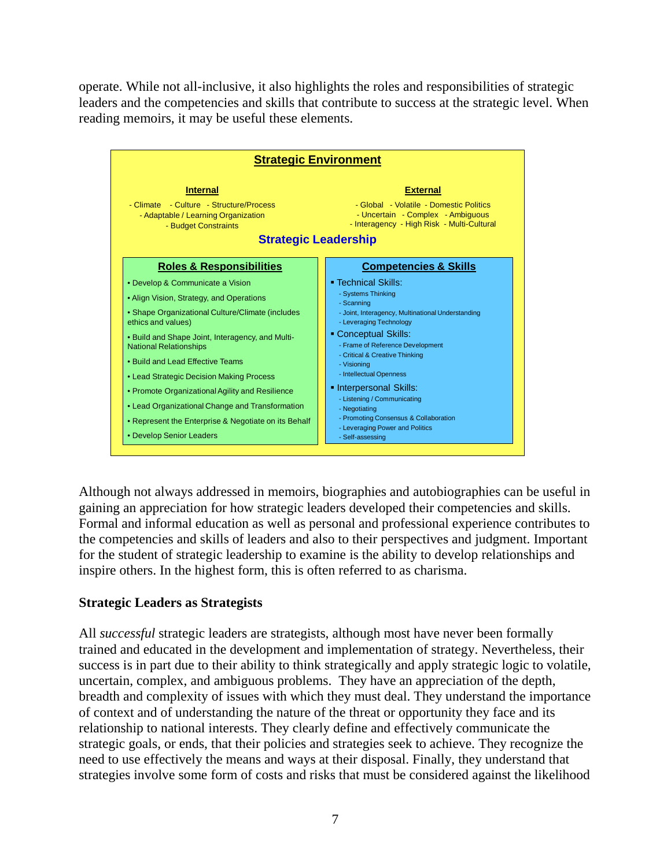operate. While not all-inclusive, it also highlights the roles and responsibilities of strategic leaders and the competencies and skills that contribute to success at the strategic level. When reading memoirs, it may be useful these elements.



Although not always addressed in memoirs, biographies and autobiographies can be useful in gaining an appreciation for how strategic leaders developed their competencies and skills. Formal and informal education as well as personal and professional experience contributes to the competencies and skills of leaders and also to their perspectives and judgment. Important for the student of strategic leadership to examine is the ability to develop relationships and inspire others. In the highest form, this is often referred to as charisma.

#### **Strategic Leaders as Strategists**

All *successful* strategic leaders are strategists, although most have never been formally trained and educated in the development and implementation of strategy. Nevertheless, their success is in part due to their ability to think strategically and apply strategic logic to volatile, uncertain, complex, and ambiguous problems. They have an appreciation of the depth, breadth and complexity of issues with which they must deal. They understand the importance of context and of understanding the nature of the threat or opportunity they face and its relationship to national interests. They clearly define and effectively communicate the strategic goals, or ends, that their policies and strategies seek to achieve. They recognize the need to use effectively the means and ways at their disposal. Finally, they understand that strategies involve some form of costs and risks that must be considered against the likelihood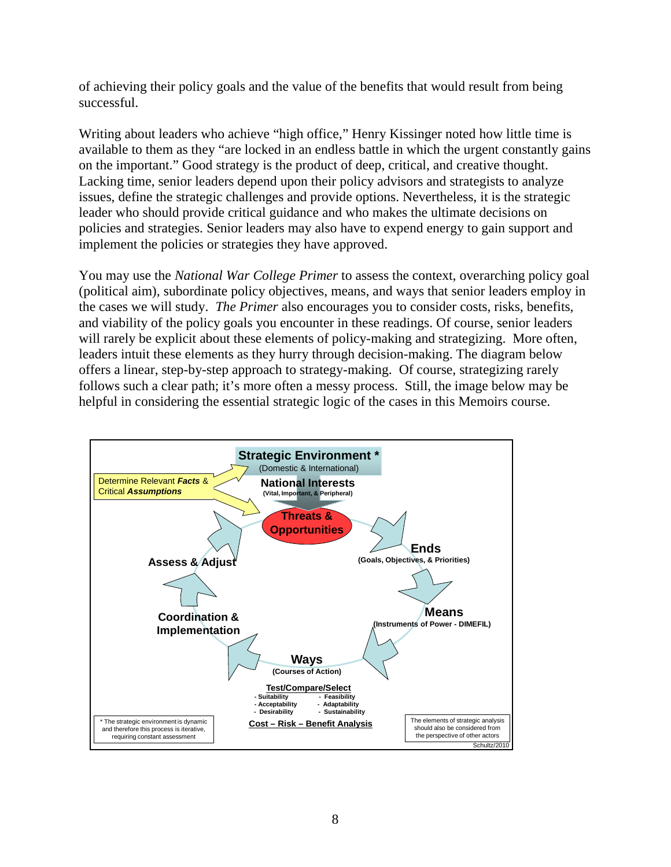of achieving their policy goals and the value of the benefits that would result from being successful.

Writing about leaders who achieve "high office," Henry Kissinger noted how little time is available to them as they "are locked in an endless battle in which the urgent constantly gains on the important." Good strategy is the product of deep, critical, and creative thought. Lacking time, senior leaders depend upon their policy advisors and strategists to analyze issues, define the strategic challenges and provide options. Nevertheless, it is the strategic leader who should provide critical guidance and who makes the ultimate decisions on policies and strategies. Senior leaders may also have to expend energy to gain support and implement the policies or strategies they have approved.

You may use the *National War College Primer* to assess the context, overarching policy goal (political aim), subordinate policy objectives, means, and ways that senior leaders employ in the cases we will study. *The Primer* also encourages you to consider costs, risks, benefits, and viability of the policy goals you encounter in these readings. Of course, senior leaders will rarely be explicit about these elements of policy-making and strategizing. More often, leaders intuit these elements as they hurry through decision-making. The diagram below offers a linear, step-by-step approach to strategy-making. Of course, strategizing rarely follows such a clear path; it's more often a messy process. Still, the image below may be helpful in considering the essential strategic logic of the cases in this Memoirs course.

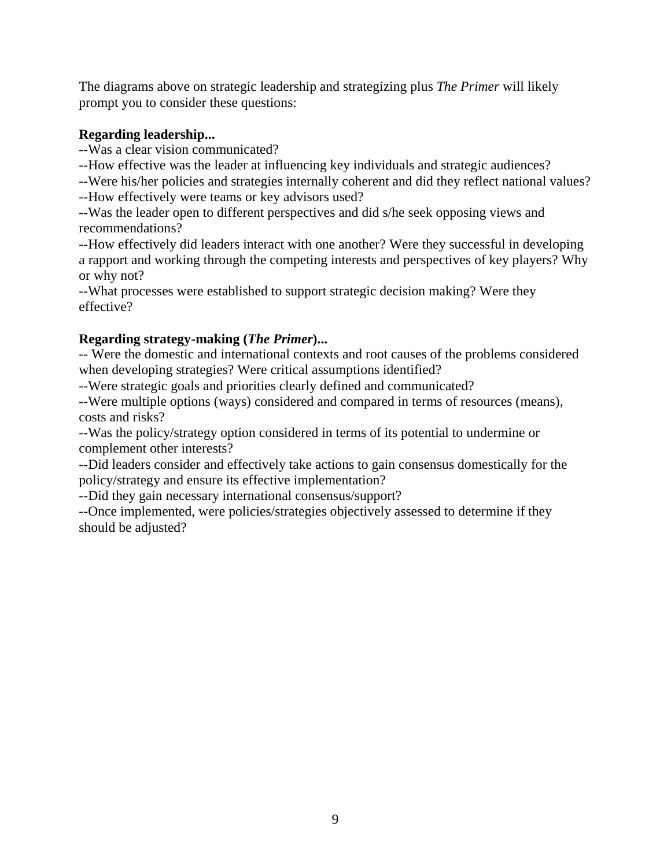The diagrams above on strategic leadership and strategizing plus *The Primer* will likely prompt you to consider these questions:

### **Regarding leadership...**

--Was a clear vision communicated?

--How effective was the leader at influencing key individuals and strategic audiences?

--Were his/her policies and strategies internally coherent and did they reflect national values?

--How effectively were teams or key advisors used?

--Was the leader open to different perspectives and did s/he seek opposing views and recommendations?

--How effectively did leaders interact with one another? Were they successful in developing a rapport and working through the competing interests and perspectives of key players? Why or why not?

--What processes were established to support strategic decision making? Were they effective?

## **Regarding strategy-making (***The Primer***)...**

-- Were the domestic and international contexts and root causes of the problems considered when developing strategies? Were critical assumptions identified?

--Were strategic goals and priorities clearly defined and communicated?

--Were multiple options (ways) considered and compared in terms of resources (means), costs and risks?

--Was the policy/strategy option considered in terms of its potential to undermine or complement other interests?

--Did leaders consider and effectively take actions to gain consensus domestically for the policy/strategy and ensure its effective implementation?

--Did they gain necessary international consensus/support?

--Once implemented, were policies/strategies objectively assessed to determine if they should be adjusted?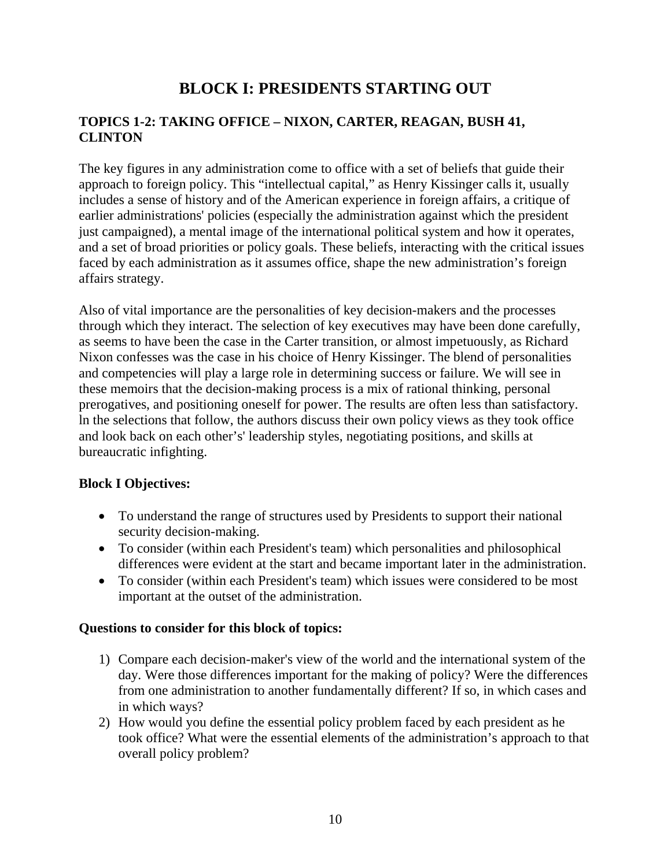# **BLOCK I: PRESIDENTS STARTING OUT**

### **TOPICS 1-2: TAKING OFFICE – NIXON, CARTER, REAGAN, BUSH 41, CLINTON**

The key figures in any administration come to office with a set of beliefs that guide their approach to foreign policy. This "intellectual capital," as Henry Kissinger calls it, usually includes a sense of history and of the American experience in foreign affairs, a critique of earlier administrations' policies (especially the administration against which the president just campaigned), a mental image of the international political system and how it operates, and a set of broad priorities or policy goals. These beliefs, interacting with the critical issues faced by each administration as it assumes office, shape the new administration's foreign affairs strategy.

Also of vital importance are the personalities of key decision-makers and the processes through which they interact. The selection of key executives may have been done carefully, as seems to have been the case in the Carter transition, or almost impetuously, as Richard Nixon confesses was the case in his choice of Henry Kissinger. The blend of personalities and competencies will play a large role in determining success or failure. We will see in these memoirs that the decision-making process is a mix of rational thinking, personal prerogatives, and positioning oneself for power. The results are often less than satisfactory. ln the selections that follow, the authors discuss their own policy views as they took office and look back on each other's' leadership styles, negotiating positions, and skills at bureaucratic infighting.

### **Block I Objectives:**

- To understand the range of structures used by Presidents to support their national security decision-making.
- To consider (within each President's team) which personalities and philosophical differences were evident at the start and became important later in the administration.
- To consider (within each President's team) which issues were considered to be most important at the outset of the administration.

### **Questions to consider for this block of topics:**

- 1) Compare each decision-maker's view of the world and the international system of the day. Were those differences important for the making of policy? Were the differences from one administration to another fundamentally different? If so, in which cases and in which ways?
- 2) How would you define the essential policy problem faced by each president as he took office? What were the essential elements of the administration's approach to that overall policy problem?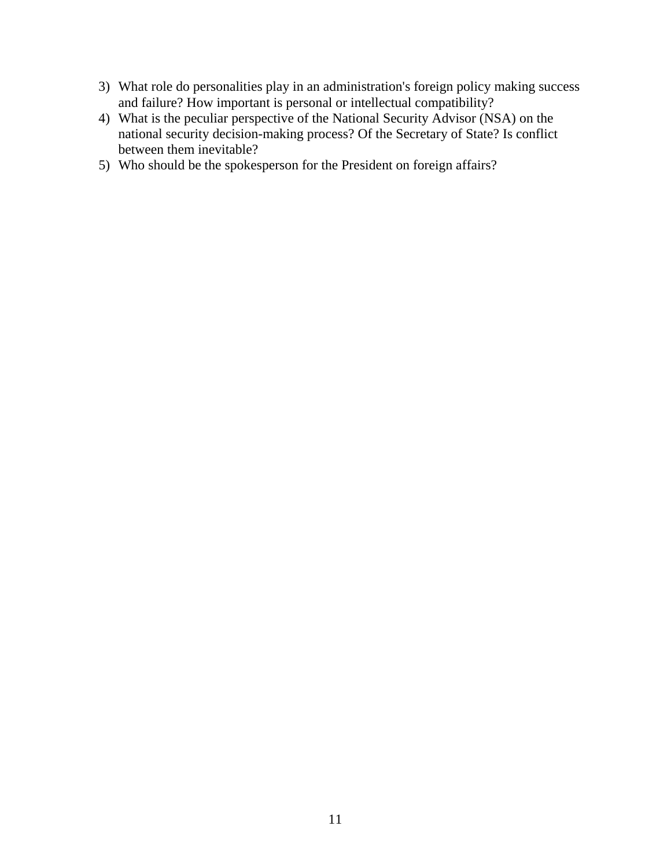- 3) What role do personalities play in an administration's foreign policy making success and failure? How important is personal or intellectual compatibility?
- 4) What is the peculiar perspective of the National Security Advisor (NSA) on the national security decision-making process? Of the Secretary of State? Is conflict between them inevitable?
- 5) Who should be the spokesperson for the President on foreign affairs?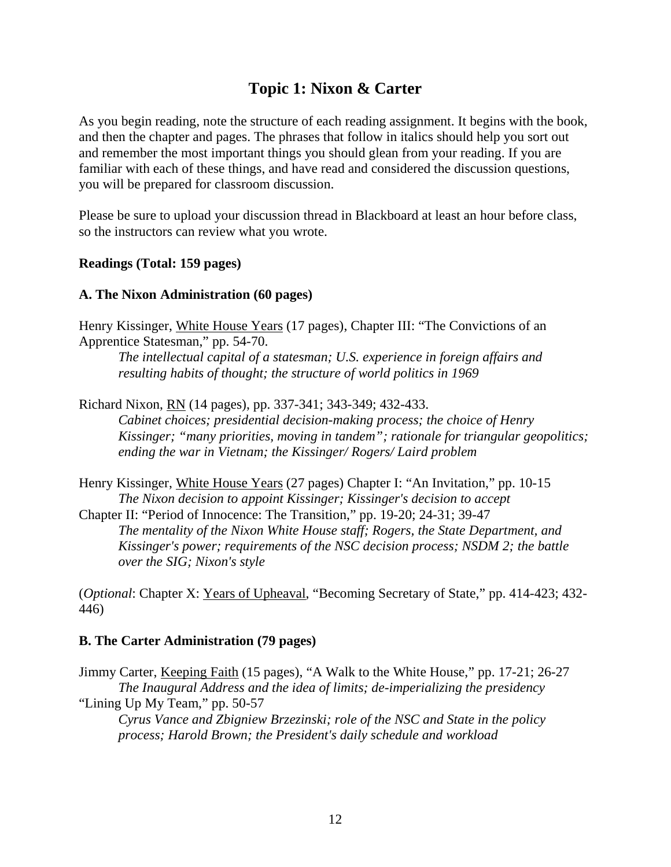# **Topic 1: Nixon & Carter**

As you begin reading, note the structure of each reading assignment. It begins with the book, and then the chapter and pages. The phrases that follow in italics should help you sort out and remember the most important things you should glean from your reading. If you are familiar with each of these things, and have read and considered the discussion questions, you will be prepared for classroom discussion.

Please be sure to upload your discussion thread in Blackboard at least an hour before class, so the instructors can review what you wrote.

#### **Readings (Total: 159 pages)**

#### **A. The Nixon Administration (60 pages)**

Henry Kissinger, White House Years (17 pages), Chapter III: "The Convictions of an Apprentice Statesman," pp. 54-70.

*The intellectual capital of a statesman; U.S. experience in foreign affairs and resulting habits of thought; the structure of world politics in 1969*

Richard Nixon, RN (14 pages), pp. 337-341; 343-349; 432-433.

*Cabinet choices; presidential decision-making process; the choice of Henry Kissinger; "many priorities, moving in tandem"; rationale for triangular geopolitics; ending the war in Vietnam; the Kissinger/ Rogers/ Laird problem*

Henry Kissinger, White House Years (27 pages) Chapter I: "An Invitation," pp. 10-15 *The Nixon decision to appoint Kissinger; Kissinger's decision to accept*

Chapter II: "Period of Innocence: The Transition," pp. 19-20; 24-31; 39-47 *The mentality of the Nixon White House staff; Rogers, the State Department, and Kissinger's power; requirements of the NSC decision process; NSDM 2; the battle over the SIG; Nixon's style*

(*Optional*: Chapter X: Years of Upheaval, "Becoming Secretary of State," pp. 414-423; 432- 446)

### **B. The Carter Administration (79 pages)**

Jimmy Carter, Keeping Faith (15 pages), "A Walk to the White House," pp. 17-21; 26-27 *The Inaugural Address and the idea of limits; de-imperializing the presidency* "Lining Up My Team," pp. 50-57

*Cyrus Vance and Zbigniew Brzezinski; role of the NSC and State in the policy process; Harold Brown; the President's daily schedule and workload*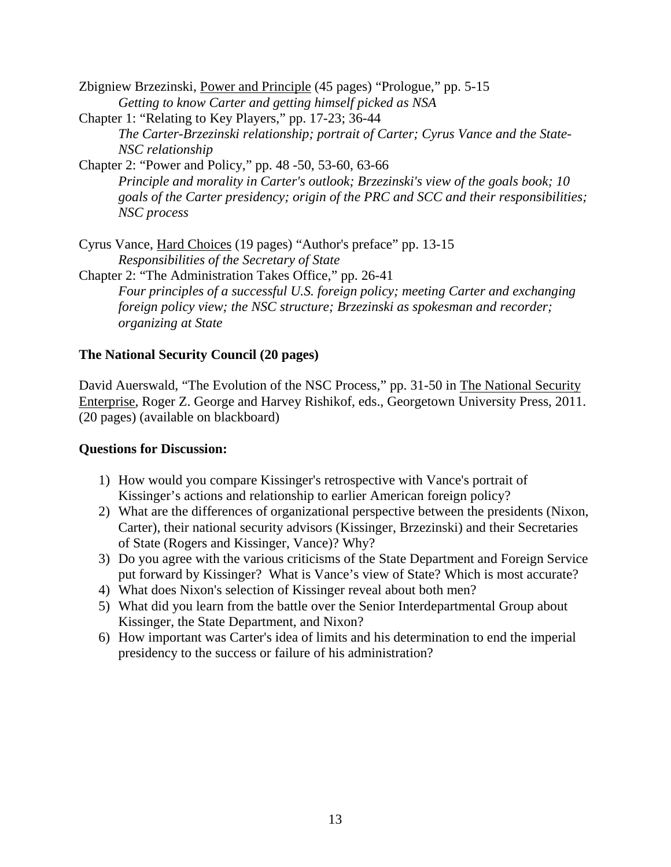- Zbigniew Brzezinski, Power and Principle (45 pages) "Prologue," pp. 5-15 *Getting to know Carter and getting himself picked as NSA*
- Chapter 1: "Relating to Key Players," pp. 17-23; 36-44 *The Carter-Brzezinski relationship; portrait of Carter; Cyrus Vance and the State-NSC relationship*
- Chapter 2: "Power and Policy," pp. 48 -50, 53-60, 63-66 *Principle and morality in Carter's outlook; Brzezinski's view of the goals book; 10 goals of the Carter presidency; origin of the PRC and SCC and their responsibilities; NSC process*

Cyrus Vance, Hard Choices (19 pages) "Author's preface" pp. 13-15 *Responsibilities of the Secretary of State*

Chapter 2: "The Administration Takes Office," pp. 26-41 *Four principles of a successful U.S. foreign policy; meeting Carter and exchanging foreign policy view; the NSC structure; Brzezinski as spokesman and recorder; organizing at State*

### **The National Security Council (20 pages)**

David Auerswald, "The Evolution of the NSC Process," pp. 31-50 in The National Security Enterprise, Roger Z. George and Harvey Rishikof, eds., Georgetown University Press, 2011. (20 pages) (available on blackboard)

### **Questions for Discussion:**

- 1) How would you compare Kissinger's retrospective with Vance's portrait of Kissinger's actions and relationship to earlier American foreign policy?
- 2) What are the differences of organizational perspective between the presidents (Nixon, Carter), their national security advisors (Kissinger, Brzezinski) and their Secretaries of State (Rogers and Kissinger, Vance)? Why?
- 3) Do you agree with the various criticisms of the State Department and Foreign Service put forward by Kissinger? What is Vance's view of State? Which is most accurate?
- 4) What does Nixon's selection of Kissinger reveal about both men?
- 5) What did you learn from the battle over the Senior Interdepartmental Group about Kissinger, the State Department, and Nixon?
- 6) How important was Carter's idea of limits and his determination to end the imperial presidency to the success or failure of his administration?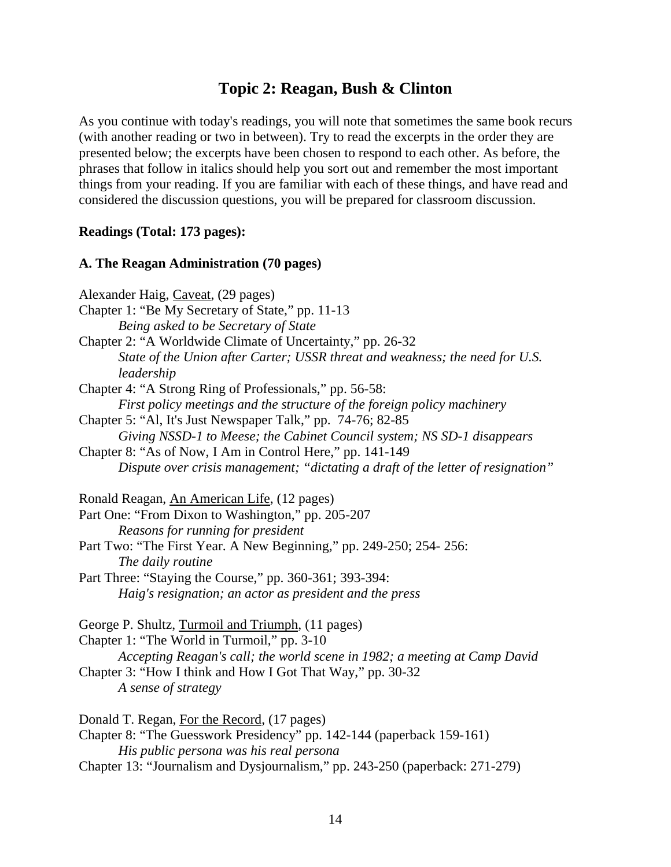# **Topic 2: Reagan, Bush & Clinton**

As you continue with today's readings, you will note that sometimes the same book recurs (with another reading or two in between). Try to read the excerpts in the order they are presented below; the excerpts have been chosen to respond to each other. As before, the phrases that follow in italics should help you sort out and remember the most important things from your reading. If you are familiar with each of these things, and have read and considered the discussion questions, you will be prepared for classroom discussion.

#### **Readings (Total: 173 pages):**

#### **A. The Reagan Administration (70 pages)**

Alexander Haig, Caveat, (29 pages) Chapter 1: "Be My Secretary of State," pp. 11-13 *Being asked to be Secretary of State* Chapter 2: "A Worldwide Climate of Uncertainty," pp. 26-32 *State of the Union after Carter; USSR threat and weakness; the need for U.S. leadership* Chapter 4: "A Strong Ring of Professionals," pp. 56-58: *First policy meetings and the structure of the foreign policy machinery* Chapter 5: "Al, It's Just Newspaper Talk," pp. 74-76; 82-85 *Giving NSSD-1 to Meese; the Cabinet Council system; NS SD-1 disappears* Chapter 8: "As of Now, I Am in Control Here," pp. 141-149 *Dispute over crisis management; "dictating a draft of the letter of resignation"* Ronald Reagan, An American Life, (12 pages) Part One: "From Dixon to Washington," pp. 205-207 *Reasons for running for president* Part Two: "The First Year. A New Beginning," pp. 249-250; 254- 256: *The daily routine* Part Three: "Staying the Course," pp. 360-361; 393-394: *Haig's resignation; an actor as president and the press* George P. Shultz, Turmoil and Triumph, (11 pages) Chapter 1: "The World in Turmoil," pp. 3-10 *Accepting Reagan's call; the world scene in 1982; a meeting at Camp David* Chapter 3: "How I think and How I Got That Way," pp. 30-32 *A sense of strategy* Donald T. Regan, For the Record, (17 pages) Chapter 8: "The Guesswork Presidency" pp. 142-144 (paperback 159-161) *His public persona was his real persona* Chapter 13: "Journalism and Dysjournalism," pp. 243-250 (paperback: 271-279)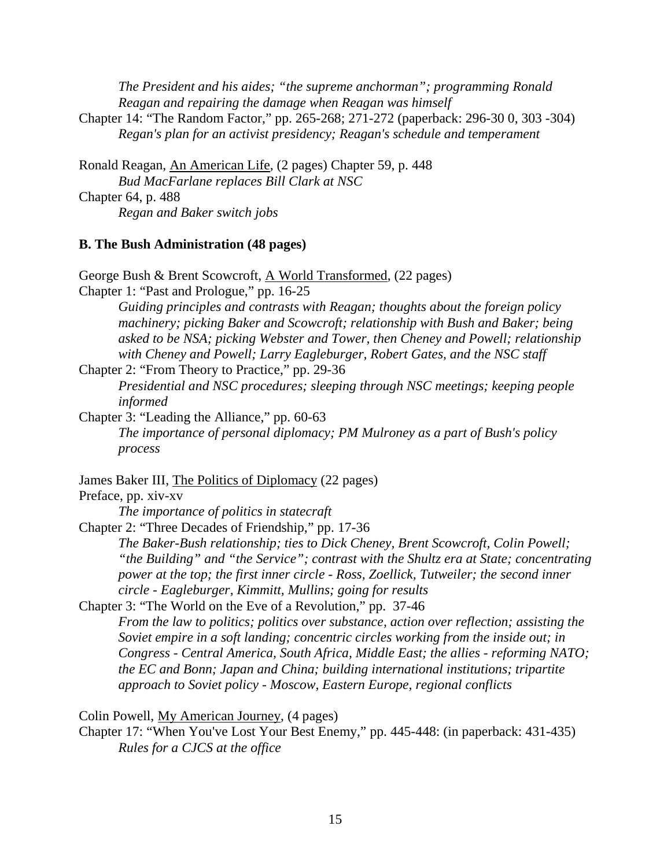*The President and his aides; "the supreme anchorman"; programming Ronald Reagan and repairing the damage when Reagan was himself*

Chapter 14: "The Random Factor," pp. 265-268; 271-272 (paperback: 296-30 0, 303 -304) *Regan's plan for an activist presidency; Reagan's schedule and temperament*

Ronald Reagan, An American Life, (2 pages) Chapter 59, p. 448 *Bud MacFarlane replaces Bill Clark at NSC* Chapter 64, p. 488 *Regan and Baker switch jobs*

#### **B. The Bush Administration (48 pages)**

George Bush & Brent Scowcroft, A World Transformed, (22 pages)

Chapter 1: "Past and Prologue," pp. 16-25

*Guiding principles and contrasts with Reagan; thoughts about the foreign policy machinery; picking Baker and Scowcroft; relationship with Bush and Baker; being asked to be NSA; picking Webster and Tower, then Cheney and Powell; relationship with Cheney and Powell; Larry Eagleburger, Robert Gates, and the NSC staff*

Chapter 2: "From Theory to Practice," pp. 29-36 *Presidential and NSC procedures; sleeping through NSC meetings; keeping people informed*

Chapter 3: "Leading the Alliance," pp. 60-63 *The importance of personal diplomacy; PM Mulroney as a part of Bush's policy process*

James Baker III, The Politics of Diplomacy (22 pages)

#### Preface, pp. xiv-xv

*The importance of politics in statecraft*

Chapter 2: "Three Decades of Friendship," pp. 17-36

*The Baker-Bush relationship; ties to Dick Cheney, Brent Scowcroft, Colin Powell; "the Building" and "the Service"; contrast with the Shultz era at State; concentrating power at the top; the first inner circle - Ross, Zoellick, Tutweiler; the second inner circle - Eagleburger, Kimmitt, Mullins; going for results*

Chapter 3: "The World on the Eve of a Revolution," pp. 37-46 *From the law to politics; politics over substance, action over reflection; assisting the Soviet empire in a soft landing; concentric circles working from the inside out; in Congress - Central America, South Africa, Middle East; the allies - reforming NATO; the EC and Bonn; Japan and China; building international institutions; tripartite approach to Soviet policy - Moscow, Eastern Europe, regional conflicts*

Colin Powell, My American Journey, (4 pages)

Chapter 17: "When You've Lost Your Best Enemy," pp. 445-448: (in paperback: 431-435) *Rules for a CJCS at the office*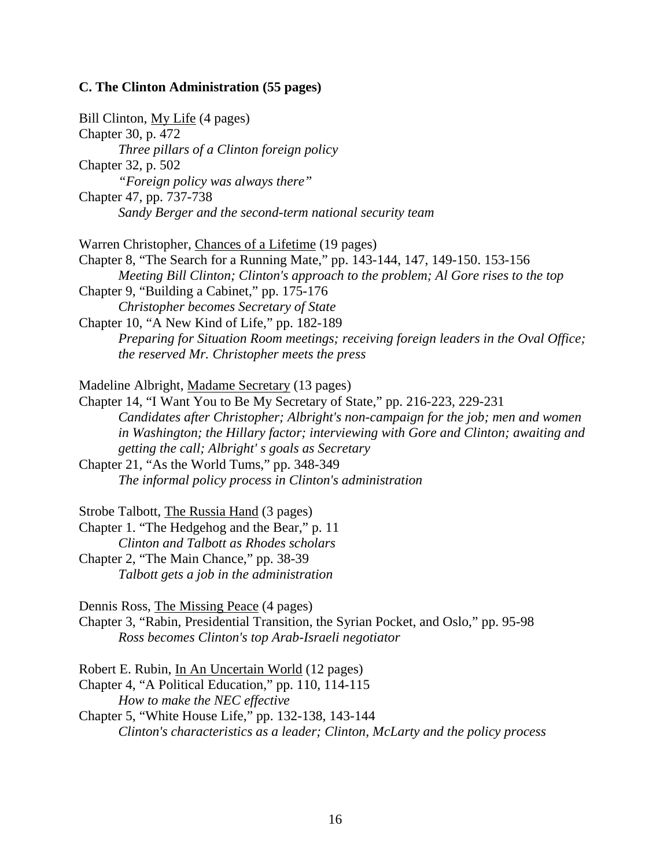# **C. The Clinton Administration (55 pages)**

| Bill Clinton, My Life (4 pages)<br>Chapter 30, p. 472<br>Three pillars of a Clinton foreign policy<br>Chapter 32, p. 502<br>"Foreign policy was always there"<br>Chapter 47, pp. 737-738<br>Sandy Berger and the second-term national security team                                                                                                                                                                                                                                                            |
|----------------------------------------------------------------------------------------------------------------------------------------------------------------------------------------------------------------------------------------------------------------------------------------------------------------------------------------------------------------------------------------------------------------------------------------------------------------------------------------------------------------|
| Warren Christopher, Chances of a Lifetime (19 pages)<br>Chapter 8, "The Search for a Running Mate," pp. 143-144, 147, 149-150. 153-156<br>Meeting Bill Clinton; Clinton's approach to the problem; Al Gore rises to the top<br>Chapter 9, "Building a Cabinet," pp. 175-176<br>Christopher becomes Secretary of State<br>Chapter 10, "A New Kind of Life," pp. 182-189<br>Preparing for Situation Room meetings; receiving foreign leaders in the Oval Office;<br>the reserved Mr. Christopher meets the press |
| Madeline Albright, Madame Secretary (13 pages)<br>Chapter 14, "I Want You to Be My Secretary of State," pp. 216-223, 229-231<br>Candidates after Christopher; Albright's non-campaign for the job; men and women<br>in Washington; the Hillary factor; interviewing with Gore and Clinton; awaiting and<br>getting the call; Albright's goals as Secretary<br>Chapter 21, "As the World Tums," pp. 348-349<br>The informal policy process in Clinton's administration                                          |
| Strobe Talbott, The Russia Hand (3 pages)<br>Chapter 1. "The Hedgehog and the Bear," p. 11<br>Clinton and Talbott as Rhodes scholars<br>Chapter 2, "The Main Chance," pp. 38-39<br>Talbott gets a job in the administration                                                                                                                                                                                                                                                                                    |
| Dennis Ross, The Missing Peace (4 pages)<br>Chapter 3, "Rabin, Presidential Transition, the Syrian Pocket, and Oslo," pp. 95-98<br>Ross becomes Clinton's top Arab-Israeli negotiator                                                                                                                                                                                                                                                                                                                          |
| Robert E. Rubin, In An Uncertain World (12 pages)<br>Chapter 4, "A Political Education," pp. 110, 114-115<br>How to make the NEC effective<br>Chapter 5, "White House Life," pp. 132-138, 143-144<br>Clinton's characteristics as a leader; Clinton, McLarty and the policy process                                                                                                                                                                                                                            |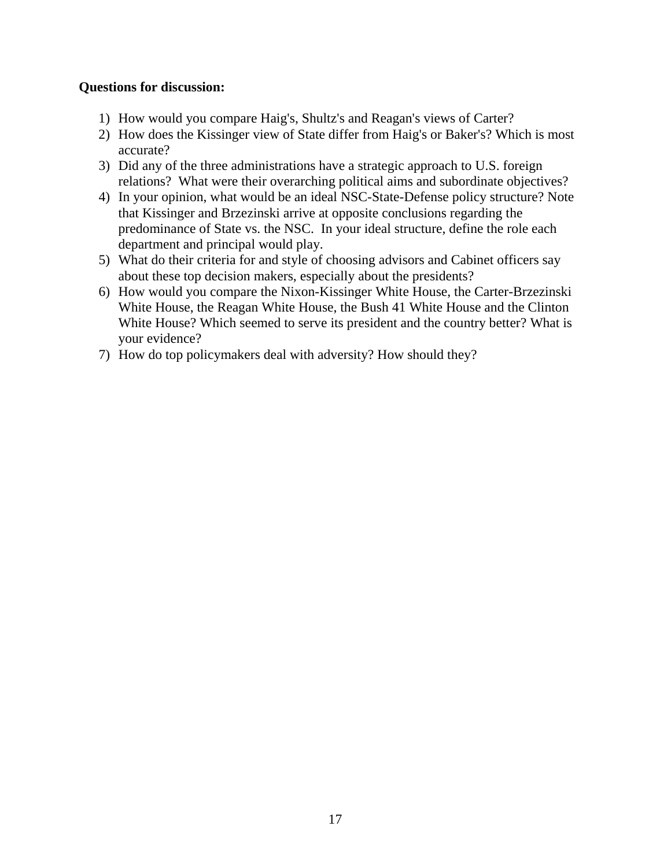#### **Questions for discussion:**

- 1) How would you compare Haig's, Shultz's and Reagan's views of Carter?
- 2) How does the Kissinger view of State differ from Haig's or Baker's? Which is most accurate?
- 3) Did any of the three administrations have a strategic approach to U.S. foreign relations? What were their overarching political aims and subordinate objectives?
- 4) In your opinion, what would be an ideal NSC-State-Defense policy structure? Note that Kissinger and Brzezinski arrive at opposite conclusions regarding the predominance of State vs. the NSC. In your ideal structure, define the role each department and principal would play.
- 5) What do their criteria for and style of choosing advisors and Cabinet officers say about these top decision makers, especially about the presidents?
- 6) How would you compare the Nixon-Kissinger White House, the Carter-Brzezinski White House, the Reagan White House, the Bush 41 White House and the Clinton White House? Which seemed to serve its president and the country better? What is your evidence?
- 7) How do top policymakers deal with adversity? How should they?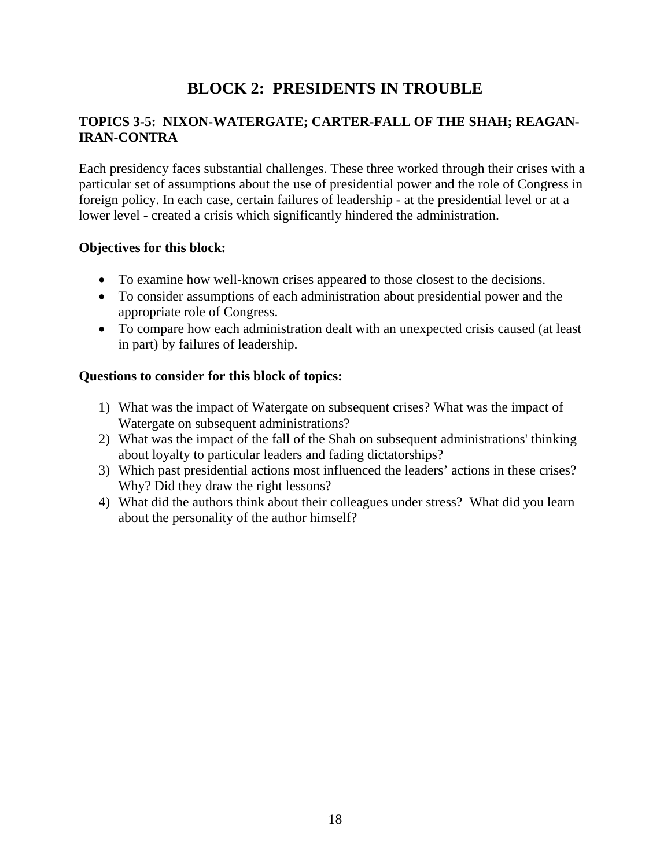# **BLOCK 2: PRESIDENTS IN TROUBLE**

### **TOPICS 3-5: NIXON-WATERGATE; CARTER-FALL OF THE SHAH; REAGAN-IRAN-CONTRA**

Each presidency faces substantial challenges. These three worked through their crises with a particular set of assumptions about the use of presidential power and the role of Congress in foreign policy. In each case, certain failures of leadership - at the presidential level or at a lower level - created a crisis which significantly hindered the administration.

#### **Objectives for this block:**

- To examine how well-known crises appeared to those closest to the decisions.
- To consider assumptions of each administration about presidential power and the appropriate role of Congress.
- To compare how each administration dealt with an unexpected crisis caused (at least in part) by failures of leadership.

#### **Questions to consider for this block of topics:**

- 1) What was the impact of Watergate on subsequent crises? What was the impact of Watergate on subsequent administrations?
- 2) What was the impact of the fall of the Shah on subsequent administrations' thinking about loyalty to particular leaders and fading dictatorships?
- 3) Which past presidential actions most influenced the leaders' actions in these crises? Why? Did they draw the right lessons?
- 4) What did the authors think about their colleagues under stress? What did you learn about the personality of the author himself?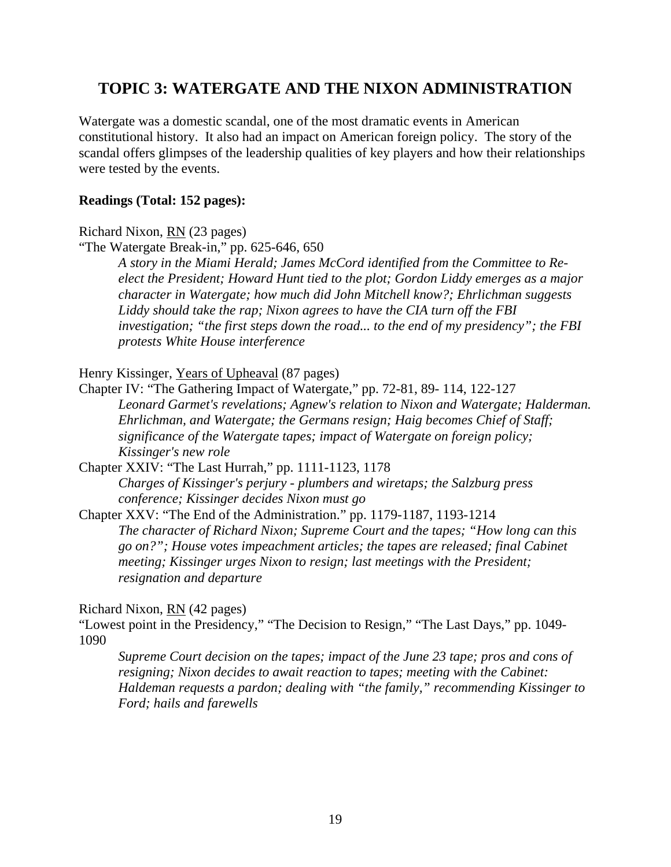# **TOPIC 3: WATERGATE AND THE NIXON ADMINISTRATION**

Watergate was a domestic scandal, one of the most dramatic events in American constitutional history. It also had an impact on American foreign policy. The story of the scandal offers glimpses of the leadership qualities of key players and how their relationships were tested by the events.

#### **Readings (Total: 152 pages):**

Richard Nixon, RN (23 pages)

"The Watergate Break-in," pp. 625-646, 650

*A story in the Miami Herald; James McCord identified from the Committee to Reelect the President; Howard Hunt tied to the plot; Gordon Liddy emerges as a major character in Watergate; how much did John Mitchell know?; Ehrlichman suggests Liddy should take the rap; Nixon agrees to have the CIA turn off the FBI investigation; "the first steps down the road... to the end of my presidency"; the FBI protests White House interference*

Henry Kissinger, Years of Upheaval (87 pages)

Chapter IV: "The Gathering Impact of Watergate," pp. 72-81, 89- 114, 122-127 *Leonard Garmet's revelations; Agnew's relation to Nixon and Watergate; Halderman. Ehrlichman, and Watergate; the Germans resign; Haig becomes Chief of Staff; significance of the Watergate tapes; impact of Watergate on foreign policy; Kissinger's new role*

Chapter XXIV: "The Last Hurrah," pp. 1111-1123, 1178 *Charges of Kissinger's perjury - plumbers and wiretaps; the Salzburg press conference; Kissinger decides Nixon must go*

Chapter XXV: "The End of the Administration." pp. 1179-1187, 1193-1214 *The character of Richard Nixon; Supreme Court and the tapes; "How long can this go on?"; House votes impeachment articles; the tapes are released; final Cabinet meeting; Kissinger urges Nixon to resign; last meetings with the President; resignation and departure*

Richard Nixon, RN (42 pages)

"Lowest point in the Presidency," "The Decision to Resign," "The Last Days," pp. 1049- 1090

*Supreme Court decision on the tapes; impact of the June 23 tape; pros and cons of resigning; Nixon decides to await reaction to tapes; meeting with the Cabinet: Haldeman requests a pardon; dealing with "the family," recommending Kissinger to Ford; hails and farewells*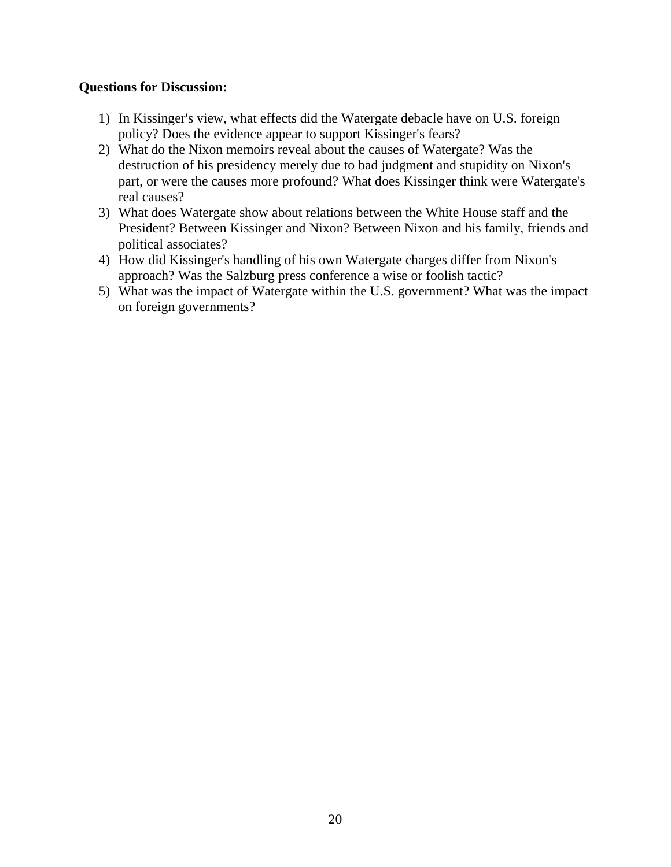#### **Questions for Discussion:**

- 1) In Kissinger's view, what effects did the Watergate debacle have on U.S. foreign policy? Does the evidence appear to support Kissinger's fears?
- 2) What do the Nixon memoirs reveal about the causes of Watergate? Was the destruction of his presidency merely due to bad judgment and stupidity on Nixon's part, or were the causes more profound? What does Kissinger think were Watergate's real causes?
- 3) What does Watergate show about relations between the White House staff and the President? Between Kissinger and Nixon? Between Nixon and his family, friends and political associates?
- 4) How did Kissinger's handling of his own Watergate charges differ from Nixon's approach? Was the Salzburg press conference a wise or foolish tactic?
- 5) What was the impact of Watergate within the U.S. government? What was the impact on foreign governments?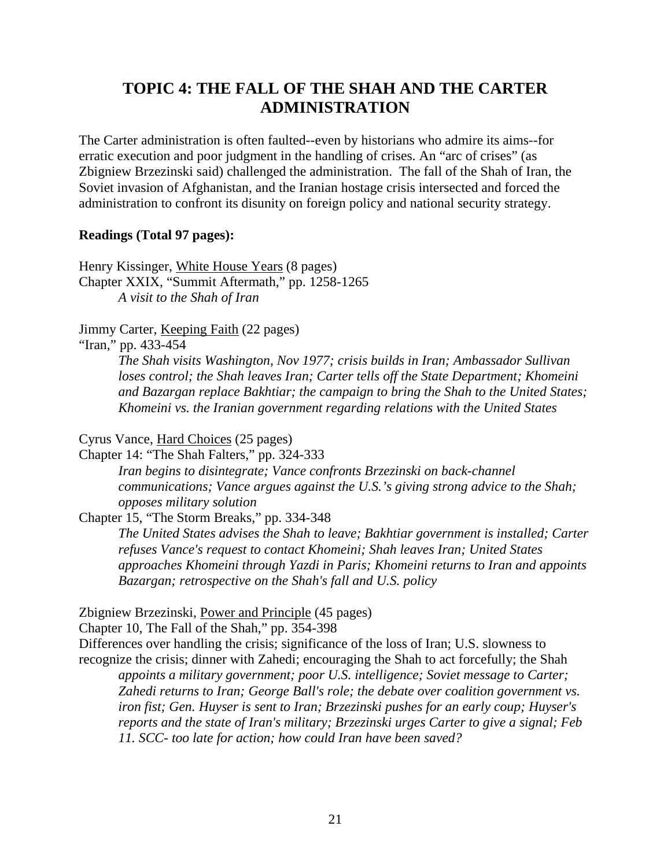# **TOPIC 4: THE FALL OF THE SHAH AND THE CARTER ADMINISTRATION**

The Carter administration is often faulted--even by historians who admire its aims--for erratic execution and poor judgment in the handling of crises. An "arc of crises" (as Zbigniew Brzezinski said) challenged the administration. The fall of the Shah of Iran, the Soviet invasion of Afghanistan, and the Iranian hostage crisis intersected and forced the administration to confront its disunity on foreign policy and national security strategy.

#### **Readings (Total 97 pages):**

Henry Kissinger, White House Years (8 pages) Chapter XXIX, "Summit Aftermath," pp. 1258-1265 *A visit to the Shah of Iran*

#### Jimmy Carter, Keeping Faith (22 pages)

"Iran," pp. 433-454

*The Shah visits Washington, Nov 1977; crisis builds in Iran; Ambassador Sullivan loses control; the Shah leaves Iran; Carter tells off the State Department; Khomeini and Bazargan replace Bakhtiar; the campaign to bring the Shah to the United States; Khomeini vs. the Iranian government regarding relations with the United States*

#### Cyrus Vance, Hard Choices (25 pages)

Chapter 14: "The Shah Falters," pp. 324-333

*Iran begins to disintegrate; Vance confronts Brzezinski on back-channel communications; Vance argues against the U.S.'s giving strong advice to the Shah; opposes military solution*

Chapter 15, "The Storm Breaks," pp. 334-348

*The United States advises the Shah to leave; Bakhtiar government is installed; Carter refuses Vance's request to contact Khomeini; Shah leaves Iran; United States approaches Khomeini through Yazdi in Paris; Khomeini returns to Iran and appoints Bazargan; retrospective on the Shah's fall and U.S. policy*

Zbigniew Brzezinski, Power and Principle (45 pages)

Chapter 10, The Fall of the Shah," pp. 354-398

Differences over handling the crisis; significance of the loss of Iran; U.S. slowness to recognize the crisis; dinner with Zahedi; encouraging the Shah to act forcefully; the Shah

*appoints a military government; poor U.S. intelligence; Soviet message to Carter; Zahedi returns to Iran; George Ball's role; the debate over coalition government vs. iron fist; Gen. Huyser is sent to Iran; Brzezinski pushes for an early coup; Huyser's reports and the state of Iran's military; Brzezinski urges Carter to give a signal; Feb 11. SCC- too late for action; how could Iran have been saved?*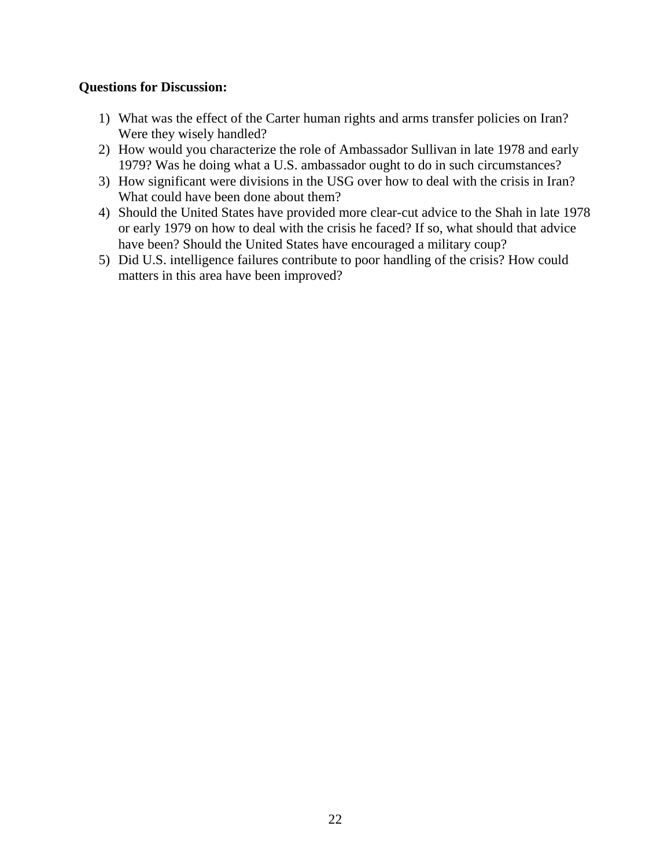#### **Questions for Discussion:**

- 1) What was the effect of the Carter human rights and arms transfer policies on Iran? Were they wisely handled?
- 2) How would you characterize the role of Ambassador Sullivan in late 1978 and early 1979? Was he doing what a U.S. ambassador ought to do in such circumstances?
- 3) How significant were divisions in the USG over how to deal with the crisis in Iran? What could have been done about them?
- 4) Should the United States have provided more clear-cut advice to the Shah in late 1978 or early 1979 on how to deal with the crisis he faced? If so, what should that advice have been? Should the United States have encouraged a military coup?
- 5) Did U.S. intelligence failures contribute to poor handling of the crisis? How could matters in this area have been improved?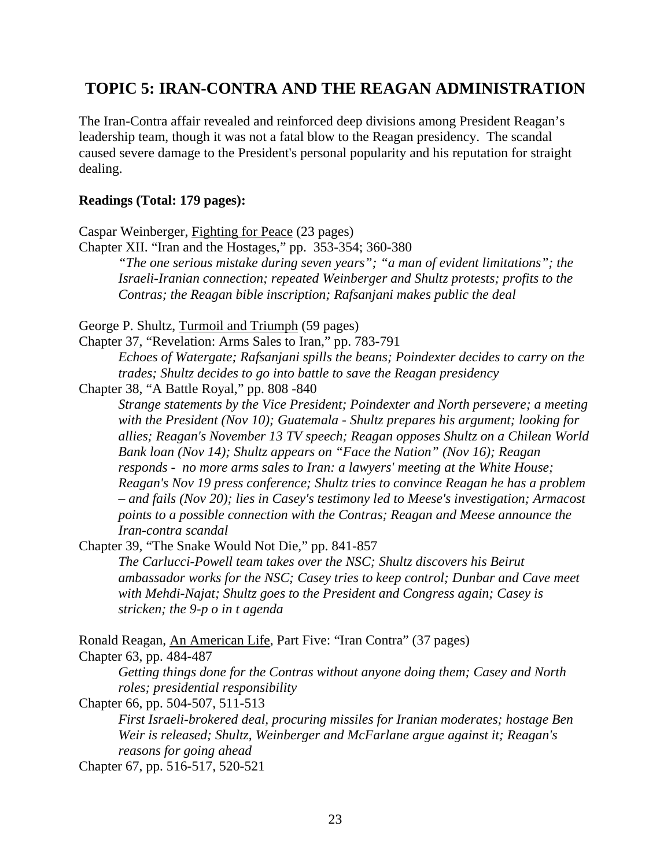# **TOPIC 5: IRAN-CONTRA AND THE REAGAN ADMINISTRATION**

The Iran-Contra affair revealed and reinforced deep divisions among President Reagan's leadership team, though it was not a fatal blow to the Reagan presidency. The scandal caused severe damage to the President's personal popularity and his reputation for straight dealing.

#### **Readings (Total: 179 pages):**

Caspar Weinberger, Fighting for Peace (23 pages) Chapter XII. "Iran and the Hostages," pp. 353-354; 360-380 *"The one serious mistake during seven years"; "a man of evident limitations"; the Israeli-Iranian connection; repeated Weinberger and Shultz protests; profits to the Contras; the Reagan bible inscription; Rafsanjani makes public the deal*  George P. Shultz, Turmoil and Triumph (59 pages) Chapter 37, "Revelation: Arms Sales to Iran," pp. 783-791 *Echoes of Watergate; Rafsanjani spills the beans; Poindexter decides to carry on the trades; Shultz decides to go into battle to save the Reagan presidency*  Chapter 38, "A Battle Royal," pp. 808 -840 *Strange statements by the Vice President; Poindexter and North persevere; a meeting with the President (Nov 10); Guatemala - Shultz prepares his argument; looking for allies; Reagan's November 13 TV speech; Reagan opposes Shultz on a Chilean World Bank loan (Nov 14); Shultz appears on "Face the Nation" (Nov 16); Reagan responds - no more arms sales to Iran: a lawyers' meeting at the White House; Reagan's Nov 19 press conference; Shultz tries to convince Reagan he has a problem – and fails (Nov 20); lies in Casey's testimony led to Meese's investigation; Armacost points to a possible connection with the Contras; Reagan and Meese announce the Iran-contra scandal* Chapter 39, "The Snake Would Not Die," pp. 841-857 *The Carlucci-Powell team takes over the NSC; Shultz discovers his Beirut ambassador works for the NSC; Casey tries to keep control; Dunbar and Cave meet with Mehdi-Najat; Shultz goes to the President and Congress again; Casey is stricken; the 9-p o in t agenda* Ronald Reagan, An American Life, Part Five: "Iran Contra" (37 pages) Chapter 63, pp. 484-487 *Getting things done for the Contras without anyone doing them; Casey and North roles; presidential responsibility* Chapter 66, pp. 504-507, 511-513 *First Israeli-brokered deal, procuring missiles for Iranian moderates; hostage Ben* 

*Weir is released; Shultz, Weinberger and McFarlane argue against it; Reagan's reasons for going ahead*

Chapter 67, pp. 516-517, 520-521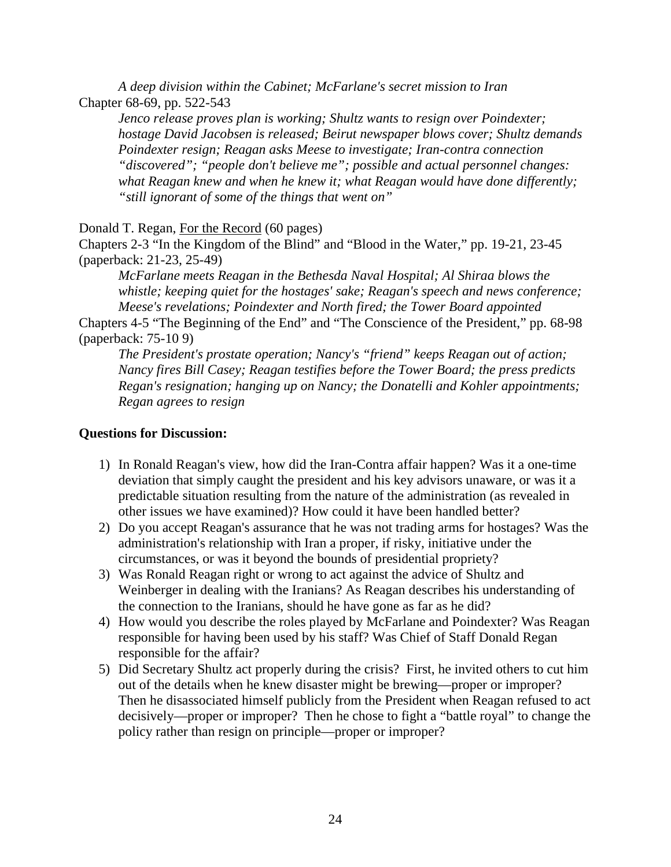*A deep division within the Cabinet; McFarlane's secret mission to Iran* Chapter 68-69, pp. 522-543

*Jenco release proves plan is working; Shultz wants to resign over Poindexter; hostage David Jacobsen is released; Beirut newspaper blows cover; Shultz demands Poindexter resign; Reagan asks Meese to investigate; Iran-contra connection "discovered"; "people don't believe me"; possible and actual personnel changes: what Reagan knew and when he knew it; what Reagan would have done differently; "still ignorant of some of the things that went on"*

Donald T. Regan, For the Record (60 pages)

Chapters 2-3 "In the Kingdom of the Blind" and "Blood in the Water," pp. 19-21, 23-45 (paperback: 21-23, 25-49)

*McFarlane meets Reagan in the Bethesda Naval Hospital; Al Shiraa blows the whistle; keeping quiet for the hostages' sake; Reagan's speech and news conference; Meese's revelations; Poindexter and North fired; the Tower Board appointed*

Chapters 4-5 "The Beginning of the End" and "The Conscience of the President," pp. 68-98 (paperback: 75-10 9)

*The President's prostate operation; Nancy's "friend" keeps Reagan out of action; Nancy fires Bill Casey; Reagan testifies before the Tower Board; the press predicts Regan's resignation; hanging up on Nancy; the Donatelli and Kohler appointments; Regan agrees to resign*

#### **Questions for Discussion:**

- 1) In Ronald Reagan's view, how did the Iran-Contra affair happen? Was it a one-time deviation that simply caught the president and his key advisors unaware, or was it a predictable situation resulting from the nature of the administration (as revealed in other issues we have examined)? How could it have been handled better?
- 2) Do you accept Reagan's assurance that he was not trading arms for hostages? Was the administration's relationship with Iran a proper, if risky, initiative under the circumstances, or was it beyond the bounds of presidential propriety?
- 3) Was Ronald Reagan right or wrong to act against the advice of Shultz and Weinberger in dealing with the Iranians? As Reagan describes his understanding of the connection to the Iranians, should he have gone as far as he did?
- 4) How would you describe the roles played by McFarlane and Poindexter? Was Reagan responsible for having been used by his staff? Was Chief of Staff Donald Regan responsible for the affair?
- 5) Did Secretary Shultz act properly during the crisis? First, he invited others to cut him out of the details when he knew disaster might be brewing—proper or improper? Then he disassociated himself publicly from the President when Reagan refused to act decisively—proper or improper? Then he chose to fight a "battle royal" to change the policy rather than resign on principle—proper or improper?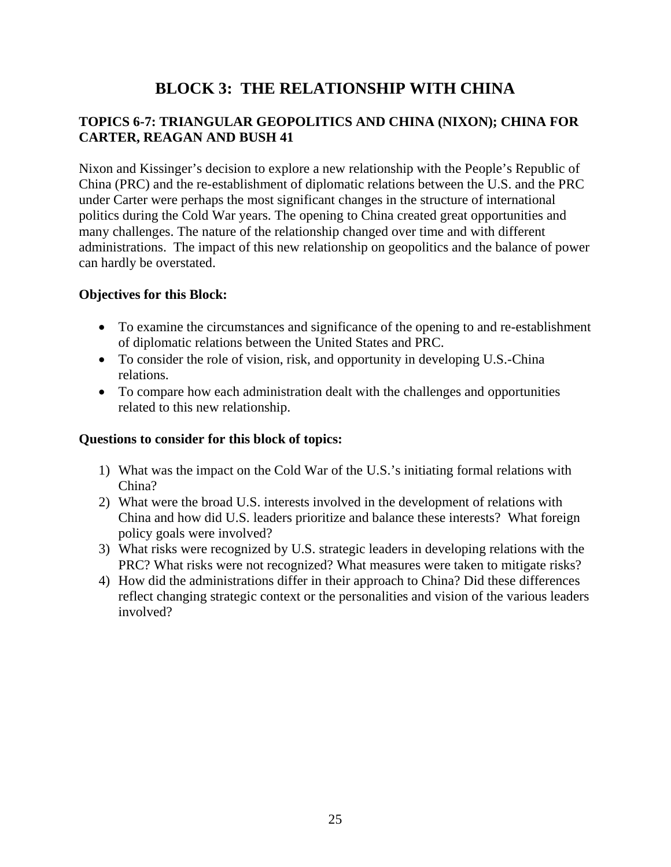# **BLOCK 3: THE RELATIONSHIP WITH CHINA**

### **TOPICS 6-7: TRIANGULAR GEOPOLITICS AND CHINA (NIXON); CHINA FOR CARTER, REAGAN AND BUSH 41**

Nixon and Kissinger's decision to explore a new relationship with the People's Republic of China (PRC) and the re-establishment of diplomatic relations between the U.S. and the PRC under Carter were perhaps the most significant changes in the structure of international politics during the Cold War years. The opening to China created great opportunities and many challenges. The nature of the relationship changed over time and with different administrations. The impact of this new relationship on geopolitics and the balance of power can hardly be overstated.

#### **Objectives for this Block:**

- To examine the circumstances and significance of the opening to and re-establishment of diplomatic relations between the United States and PRC.
- To consider the role of vision, risk, and opportunity in developing U.S.-China relations.
- To compare how each administration dealt with the challenges and opportunities related to this new relationship.

#### **Questions to consider for this block of topics:**

- 1) What was the impact on the Cold War of the U.S.'s initiating formal relations with China?
- 2) What were the broad U.S. interests involved in the development of relations with China and how did U.S. leaders prioritize and balance these interests? What foreign policy goals were involved?
- 3) What risks were recognized by U.S. strategic leaders in developing relations with the PRC? What risks were not recognized? What measures were taken to mitigate risks?
- 4) How did the administrations differ in their approach to China? Did these differences reflect changing strategic context or the personalities and vision of the various leaders involved?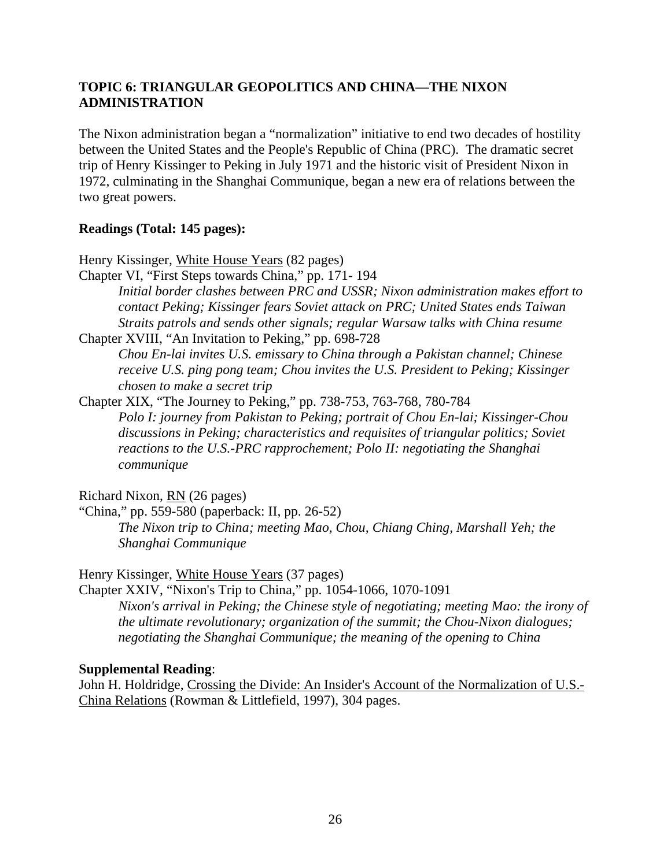### **TOPIC 6: TRIANGULAR GEOPOLITICS AND CHINA—THE NIXON ADMINISTRATION**

The Nixon administration began a "normalization" initiative to end two decades of hostility between the United States and the People's Republic of China (PRC). The dramatic secret trip of Henry Kissinger to Peking in July 1971 and the historic visit of President Nixon in 1972, culminating in the Shanghai Communique, began a new era of relations between the two great powers.

#### **Readings (Total: 145 pages):**

Henry Kissinger, White House Years (82 pages)

Chapter VI, "First Steps towards China," pp. 171- 194 *Initial border clashes between PRC and USSR; Nixon administration makes effort to contact Peking; Kissinger fears Soviet attack on PRC; United States ends Taiwan Straits patrols and sends other signals; regular Warsaw talks with China resume*

Chapter XVIII, "An Invitation to Peking," pp. 698-728 *Chou En-lai invites U.S. emissary to China through a Pakistan channel; Chinese receive U.S. ping pong team; Chou invites the U.S. President to Peking; Kissinger chosen to make a secret trip*

Chapter XIX, "The Journey to Peking," pp. 738-753, 763-768, 780-784 *Polo I: journey from Pakistan to Peking; portrait of Chou En-lai; Kissinger-Chou discussions in Peking; characteristics and requisites of triangular politics; Soviet reactions to the U.S.-PRC rapprochement; Polo II: negotiating the Shanghai communique*

Richard Nixon, RN (26 pages)

"China," pp. 559-580 (paperback: II, pp. 26-52) *The Nixon trip to China; meeting Mao, Chou, Chiang Ching, Marshall Yeh; the Shanghai Communique*

Henry Kissinger, White House Years (37 pages)

Chapter XXIV, "Nixon's Trip to China," pp. 1054-1066, 1070-1091 *Nixon's arrival in Peking; the Chinese style of negotiating; meeting Mao: the irony of the ultimate revolutionary; organization of the summit; the Chou-Nixon dialogues; negotiating the Shanghai Communique; the meaning of the opening to China*

#### **Supplemental Reading**:

John H. Holdridge, Crossing the Divide: An Insider's Account of the Normalization of U.S.-China Relations (Rowman & Littlefield, 1997), 304 pages.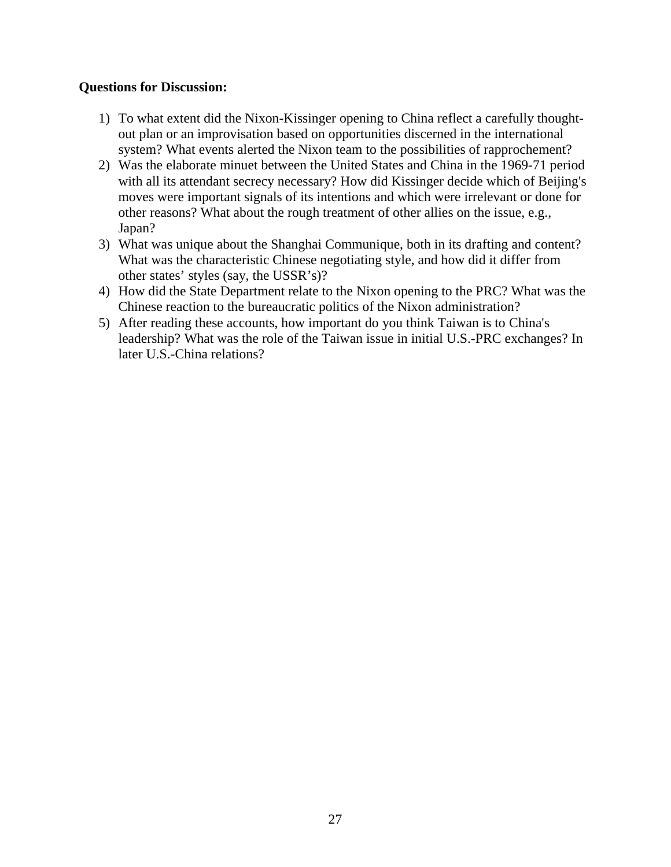#### **Questions for Discussion:**

- 1) To what extent did the Nixon-Kissinger opening to China reflect a carefully thoughtout plan or an improvisation based on opportunities discerned in the international system? What events alerted the Nixon team to the possibilities of rapprochement?
- 2) Was the elaborate minuet between the United States and China in the 1969-71 period with all its attendant secrecy necessary? How did Kissinger decide which of Beijing's moves were important signals of its intentions and which were irrelevant or done for other reasons? What about the rough treatment of other allies on the issue, e.g., Japan?
- 3) What was unique about the Shanghai Communique, both in its drafting and content? What was the characteristic Chinese negotiating style, and how did it differ from other states' styles (say, the USSR's)?
- 4) How did the State Department relate to the Nixon opening to the PRC? What was the Chinese reaction to the bureaucratic politics of the Nixon administration?
- 5) After reading these accounts, how important do you think Taiwan is to China's leadership? What was the role of the Taiwan issue in initial U.S.-PRC exchanges? In later U.S.-China relations?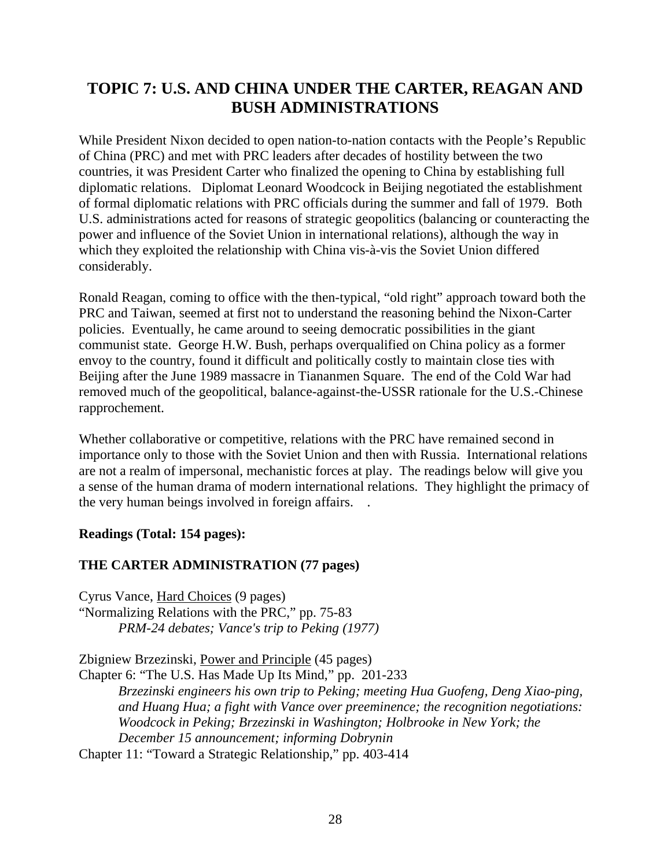# **TOPIC 7: U.S. AND CHINA UNDER THE CARTER, REAGAN AND BUSH ADMINISTRATIONS**

While President Nixon decided to open nation-to-nation contacts with the People's Republic of China (PRC) and met with PRC leaders after decades of hostility between the two countries, it was President Carter who finalized the opening to China by establishing full diplomatic relations. Diplomat Leonard Woodcock in Beijing negotiated the establishment of formal diplomatic relations with PRC officials during the summer and fall of 1979. Both U.S. administrations acted for reasons of strategic geopolitics (balancing or counteracting the power and influence of the Soviet Union in international relations), although the way in which they exploited the relationship with China vis-à-vis the Soviet Union differed considerably.

Ronald Reagan, coming to office with the then-typical, "old right" approach toward both the PRC and Taiwan, seemed at first not to understand the reasoning behind the Nixon-Carter policies. Eventually, he came around to seeing democratic possibilities in the giant communist state. George H.W. Bush, perhaps overqualified on China policy as a former envoy to the country, found it difficult and politically costly to maintain close ties with Beijing after the June 1989 massacre in Tiananmen Square. The end of the Cold War had removed much of the geopolitical, balance-against-the-USSR rationale for the U.S.-Chinese rapprochement.

Whether collaborative or competitive, relations with the PRC have remained second in importance only to those with the Soviet Union and then with Russia. International relations are not a realm of impersonal, mechanistic forces at play. The readings below will give you a sense of the human drama of modern international relations. They highlight the primacy of the very human beings involved in foreign affairs. .

### **Readings (Total: 154 pages):**

### **THE CARTER ADMINISTRATION (77 pages)**

Cyrus Vance, Hard Choices (9 pages) "Normalizing Relations with the PRC," pp. 75-83 *PRM-24 debates; Vance's trip to Peking (1977)*

Zbigniew Brzezinski, Power and Principle (45 pages)

Chapter 6: "The U.S. Has Made Up Its Mind," pp. 201-233

*Brzezinski engineers his own trip to Peking; meeting Hua Guofeng, Deng Xiao-ping, and Huang Hua; a fight with Vance over preeminence; the recognition negotiations: Woodcock in Peking; Brzezinski in Washington; Holbrooke in New York; the December 15 announcement; informing Dobrynin*

Chapter 11: "Toward a Strategic Relationship," pp. 403-414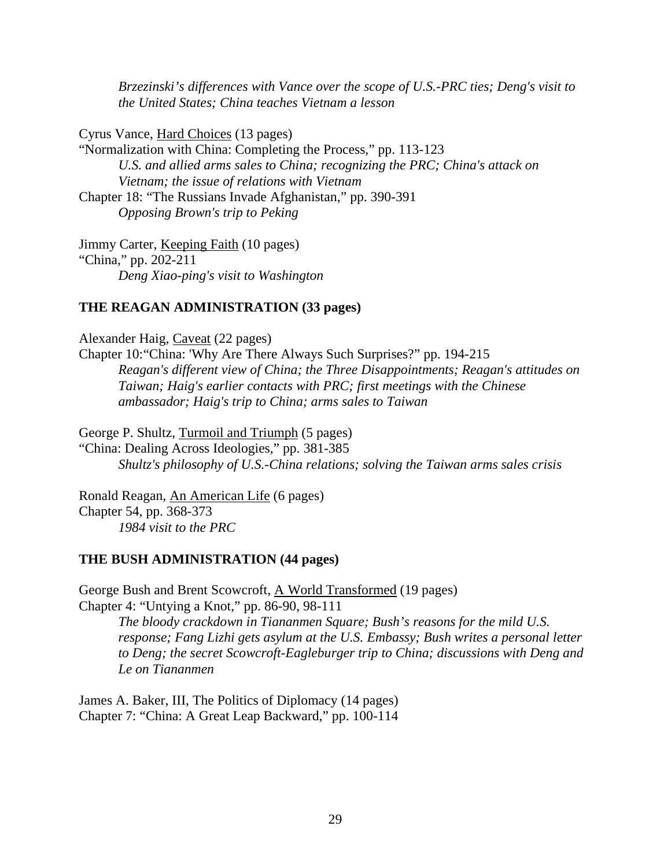*Brzezinski's differences with Vance over the scope of U.S.-PRC ties; Deng's visit to the United States; China teaches Vietnam a lesson*

Cyrus Vance, Hard Choices (13 pages)

"Normalization with China: Completing the Process," pp. 113-123 *U.S. and allied arms sales to China; recognizing the PRC; China's attack on Vietnam; the issue of relations with Vietnam* Chapter 18: "The Russians Invade Afghanistan," pp. 390-391 *Opposing Brown's trip to Peking*

Jimmy Carter, Keeping Faith (10 pages) "China," pp. 202-211 *Deng Xiao-ping's visit to Washington*

#### **THE REAGAN ADMINISTRATION (33 pages)**

Alexander Haig, Caveat (22 pages)

Chapter 10:"China: 'Why Are There Always Such Surprises?" pp. 194-215 *Reagan's different view of China; the Three Disappointments; Reagan's attitudes on Taiwan; Haig's earlier contacts with PRC; first meetings with the Chinese ambassador; Haig's trip to China; arms sales to Taiwan*

George P. Shultz, Turmoil and Triumph (5 pages)

"China: Dealing Across Ideologies," pp. 381-385 *Shultz's philosophy of U.S.-China relations; solving the Taiwan arms sales crisis*

Ronald Reagan, An American Life (6 pages) Chapter 54, pp. 368-373 *1984 visit to the PRC*

#### **THE BUSH ADMINISTRATION (44 pages)**

George Bush and Brent Scowcroft, A World Transformed (19 pages) Chapter 4: "Untying a Knot," pp. 86-90, 98-111 *The bloody crackdown in Tiananmen Square; Bush's reasons for the mild U.S. response; Fang Lizhi gets asylum at the U.S. Embassy; Bush writes a personal letter to Deng; the secret Scowcroft-Eagleburger trip to China; discussions with Deng and Le on Tiananmen*

James A. Baker, III, The Politics of Diplomacy (14 pages) Chapter 7: "China: A Great Leap Backward," pp. 100-114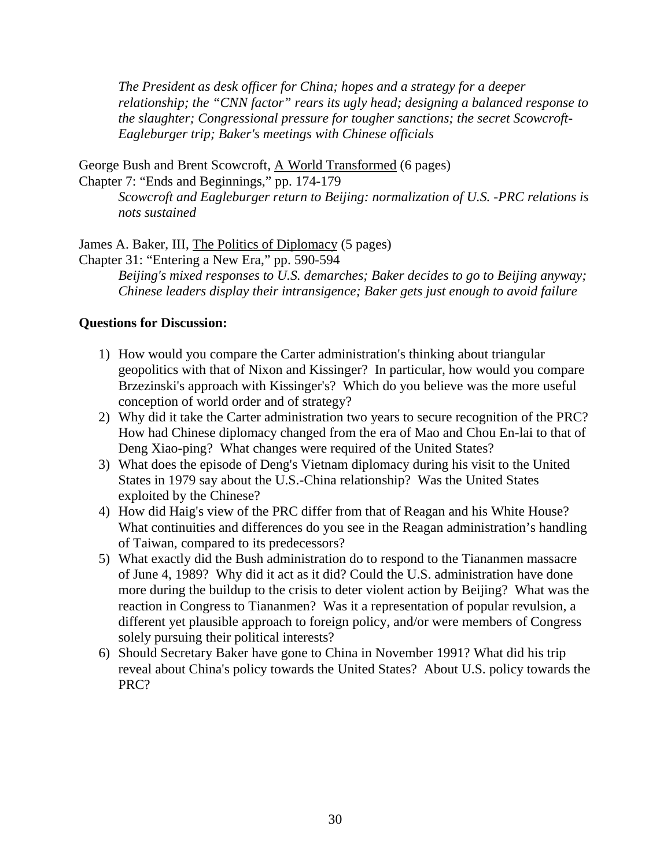*The President as desk officer for China; hopes and a strategy for a deeper relationship; the "CNN factor" rears its ugly head; designing a balanced response to the slaughter; Congressional pressure for tougher sanctions; the secret Scowcroft-Eagleburger trip; Baker's meetings with Chinese officials*

George Bush and Brent Scowcroft, A World Transformed (6 pages) Chapter 7: "Ends and Beginnings," pp. 174-179

*Scowcroft and Eagleburger return to Beijing: normalization of U.S. -PRC relations is nots sustained*

James A. Baker, III, The Politics of Diplomacy (5 pages)

Chapter 31: "Entering a New Era," pp. 590-594

*Beijing's mixed responses to U.S. demarches; Baker decides to go to Beijing anyway; Chinese leaders display their intransigence; Baker gets just enough to avoid failure*

#### **Questions for Discussion:**

- 1) How would you compare the Carter administration's thinking about triangular geopolitics with that of Nixon and Kissinger? In particular, how would you compare Brzezinski's approach with Kissinger's? Which do you believe was the more useful conception of world order and of strategy?
- 2) Why did it take the Carter administration two years to secure recognition of the PRC? How had Chinese diplomacy changed from the era of Mao and Chou En-lai to that of Deng Xiao-ping? What changes were required of the United States?
- 3) What does the episode of Deng's Vietnam diplomacy during his visit to the United States in 1979 say about the U.S.-China relationship? Was the United States exploited by the Chinese?
- 4) How did Haig's view of the PRC differ from that of Reagan and his White House? What continuities and differences do you see in the Reagan administration's handling of Taiwan, compared to its predecessors?
- 5) What exactly did the Bush administration do to respond to the Tiananmen massacre of June 4, 1989? Why did it act as it did? Could the U.S. administration have done more during the buildup to the crisis to deter violent action by Beijing? What was the reaction in Congress to Tiananmen? Was it a representation of popular revulsion, a different yet plausible approach to foreign policy, and/or were members of Congress solely pursuing their political interests?
- 6) Should Secretary Baker have gone to China in November 1991? What did his trip reveal about China's policy towards the United States? About U.S. policy towards the PRC?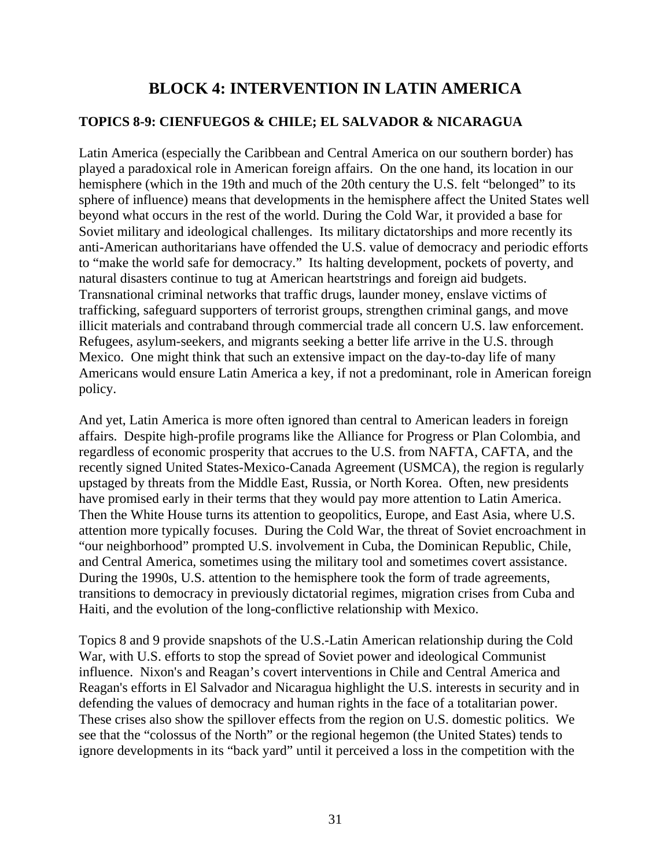# **BLOCK 4: INTERVENTION IN LATIN AMERICA**

#### **TOPICS 8-9: CIENFUEGOS & CHILE; EL SALVADOR & NICARAGUA**

Latin America (especially the Caribbean and Central America on our southern border) has played a paradoxical role in American foreign affairs. On the one hand, its location in our hemisphere (which in the 19th and much of the 20th century the U.S. felt "belonged" to its sphere of influence) means that developments in the hemisphere affect the United States well beyond what occurs in the rest of the world. During the Cold War, it provided a base for Soviet military and ideological challenges. Its military dictatorships and more recently its anti-American authoritarians have offended the U.S. value of democracy and periodic efforts to "make the world safe for democracy." Its halting development, pockets of poverty, and natural disasters continue to tug at American heartstrings and foreign aid budgets. Transnational criminal networks that traffic drugs, launder money, enslave victims of trafficking, safeguard supporters of terrorist groups, strengthen criminal gangs, and move illicit materials and contraband through commercial trade all concern U.S. law enforcement. Refugees, asylum-seekers, and migrants seeking a better life arrive in the U.S. through Mexico. One might think that such an extensive impact on the day-to-day life of many Americans would ensure Latin America a key, if not a predominant, role in American foreign policy.

And yet, Latin America is more often ignored than central to American leaders in foreign affairs. Despite high-profile programs like the Alliance for Progress or Plan Colombia, and regardless of economic prosperity that accrues to the U.S. from NAFTA, CAFTA, and the recently signed United States-Mexico-Canada Agreement (USMCA), the region is regularly upstaged by threats from the Middle East, Russia, or North Korea. Often, new presidents have promised early in their terms that they would pay more attention to Latin America. Then the White House turns its attention to geopolitics, Europe, and East Asia, where U.S. attention more typically focuses. During the Cold War, the threat of Soviet encroachment in "our neighborhood" prompted U.S. involvement in Cuba, the Dominican Republic, Chile, and Central America, sometimes using the military tool and sometimes covert assistance. During the 1990s, U.S. attention to the hemisphere took the form of trade agreements, transitions to democracy in previously dictatorial regimes, migration crises from Cuba and Haiti, and the evolution of the long-conflictive relationship with Mexico.

Topics 8 and 9 provide snapshots of the U.S.-Latin American relationship during the Cold War, with U.S. efforts to stop the spread of Soviet power and ideological Communist influence. Nixon's and Reagan's covert interventions in Chile and Central America and Reagan's efforts in El Salvador and Nicaragua highlight the U.S. interests in security and in defending the values of democracy and human rights in the face of a totalitarian power. These crises also show the spillover effects from the region on U.S. domestic politics. We see that the "colossus of the North" or the regional hegemon (the United States) tends to ignore developments in its "back yard" until it perceived a loss in the competition with the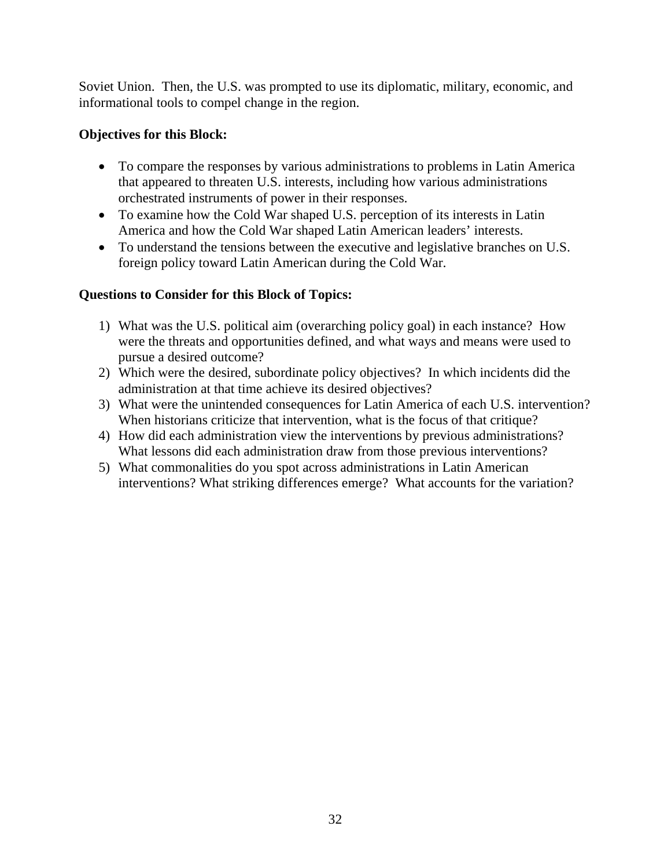Soviet Union. Then, the U.S. was prompted to use its diplomatic, military, economic, and informational tools to compel change in the region.

### **Objectives for this Block:**

- To compare the responses by various administrations to problems in Latin America that appeared to threaten U.S. interests, including how various administrations orchestrated instruments of power in their responses.
- To examine how the Cold War shaped U.S. perception of its interests in Latin America and how the Cold War shaped Latin American leaders' interests.
- To understand the tensions between the executive and legislative branches on U.S. foreign policy toward Latin American during the Cold War.

## **Questions to Consider for this Block of Topics:**

- 1) What was the U.S. political aim (overarching policy goal) in each instance? How were the threats and opportunities defined, and what ways and means were used to pursue a desired outcome?
- 2) Which were the desired, subordinate policy objectives? In which incidents did the administration at that time achieve its desired objectives?
- 3) What were the unintended consequences for Latin America of each U.S. intervention? When historians criticize that intervention, what is the focus of that critique?
- 4) How did each administration view the interventions by previous administrations? What lessons did each administration draw from those previous interventions?
- 5) What commonalities do you spot across administrations in Latin American interventions? What striking differences emerge? What accounts for the variation?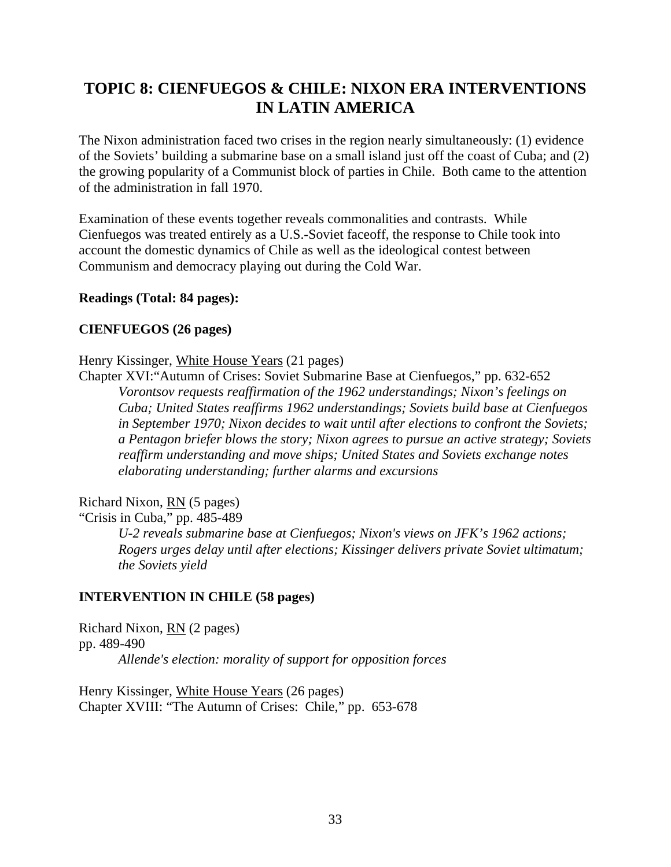# **TOPIC 8: CIENFUEGOS & CHILE: NIXON ERA INTERVENTIONS IN LATIN AMERICA**

The Nixon administration faced two crises in the region nearly simultaneously: (1) evidence of the Soviets' building a submarine base on a small island just off the coast of Cuba; and (2) the growing popularity of a Communist block of parties in Chile. Both came to the attention of the administration in fall 1970.

Examination of these events together reveals commonalities and contrasts. While Cienfuegos was treated entirely as a U.S.-Soviet faceoff, the response to Chile took into account the domestic dynamics of Chile as well as the ideological contest between Communism and democracy playing out during the Cold War.

#### **Readings (Total: 84 pages):**

#### **CIENFUEGOS (26 pages)**

Henry Kissinger, White House Years (21 pages)

Chapter XVI:"Autumn of Crises: Soviet Submarine Base at Cienfuegos," pp. 632-652 *Vorontsov requests reaffirmation of the 1962 understandings; Nixon's feelings on Cuba; United States reaffirms 1962 understandings; Soviets build base at Cienfuegos in September 1970; Nixon decides to wait until after elections to confront the Soviets; a Pentagon briefer blows the story; Nixon agrees to pursue an active strategy; Soviets reaffirm understanding and move ships; United States and Soviets exchange notes elaborating understanding; further alarms and excursions*

Richard Nixon, RN (5 pages)

"Crisis in Cuba," pp. 485-489

*U-2 reveals submarine base at Cienfuegos; Nixon's views on JFK's 1962 actions; Rogers urges delay until after elections; Kissinger delivers private Soviet ultimatum; the Soviets yield*

#### **INTERVENTION IN CHILE (58 pages)**

Richard Nixon, RN (2 pages) pp. 489-490 *Allende's election: morality of support for opposition forces*

Henry Kissinger, White House Years (26 pages) Chapter XVIII: "The Autumn of Crises: Chile," pp. 653-678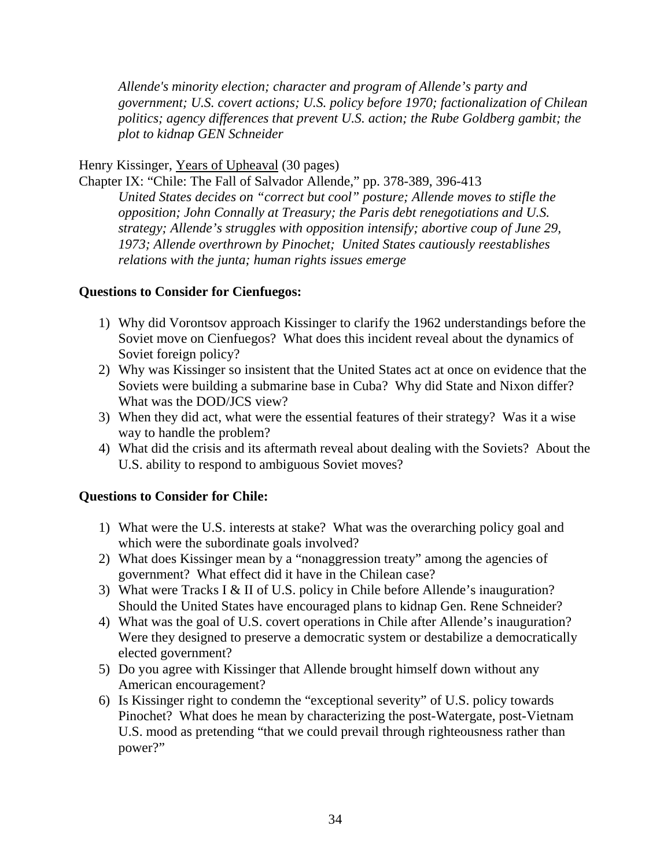*Allende's minority election; character and program of Allende's party and government; U.S. covert actions; U.S. policy before 1970; factionalization of Chilean politics; agency differences that prevent U.S. action; the Rube Goldberg gambit; the plot to kidnap GEN Schneider*

#### Henry Kissinger, Years of Upheaval (30 pages)

Chapter IX: "Chile: The Fall of Salvador Allende," pp. 378-389, 396-413 *United States decides on "correct but cool" posture; Allende moves to stifle the opposition; John Connally at Treasury; the Paris debt renegotiations and U.S. strategy; Allende's struggles with opposition intensify; abortive coup of June 29, 1973; Allende overthrown by Pinochet; United States cautiously reestablishes relations with the junta; human rights issues emerge*

#### **Questions to Consider for Cienfuegos:**

- 1) Why did Vorontsov approach Kissinger to clarify the 1962 understandings before the Soviet move on Cienfuegos? What does this incident reveal about the dynamics of Soviet foreign policy?
- 2) Why was Kissinger so insistent that the United States act at once on evidence that the Soviets were building a submarine base in Cuba? Why did State and Nixon differ? What was the DOD/JCS view?
- 3) When they did act, what were the essential features of their strategy? Was it a wise way to handle the problem?
- 4) What did the crisis and its aftermath reveal about dealing with the Soviets? About the U.S. ability to respond to ambiguous Soviet moves?

### **Questions to Consider for Chile:**

- 1) What were the U.S. interests at stake? What was the overarching policy goal and which were the subordinate goals involved?
- 2) What does Kissinger mean by a "nonaggression treaty" among the agencies of government? What effect did it have in the Chilean case?
- 3) What were Tracks I & II of U.S. policy in Chile before Allende's inauguration? Should the United States have encouraged plans to kidnap Gen. Rene Schneider?
- 4) What was the goal of U.S. covert operations in Chile after Allende's inauguration? Were they designed to preserve a democratic system or destabilize a democratically elected government?
- 5) Do you agree with Kissinger that Allende brought himself down without any American encouragement?
- 6) Is Kissinger right to condemn the "exceptional severity" of U.S. policy towards Pinochet? What does he mean by characterizing the post-Watergate, post-Vietnam U.S. mood as pretending "that we could prevail through righteousness rather than power?"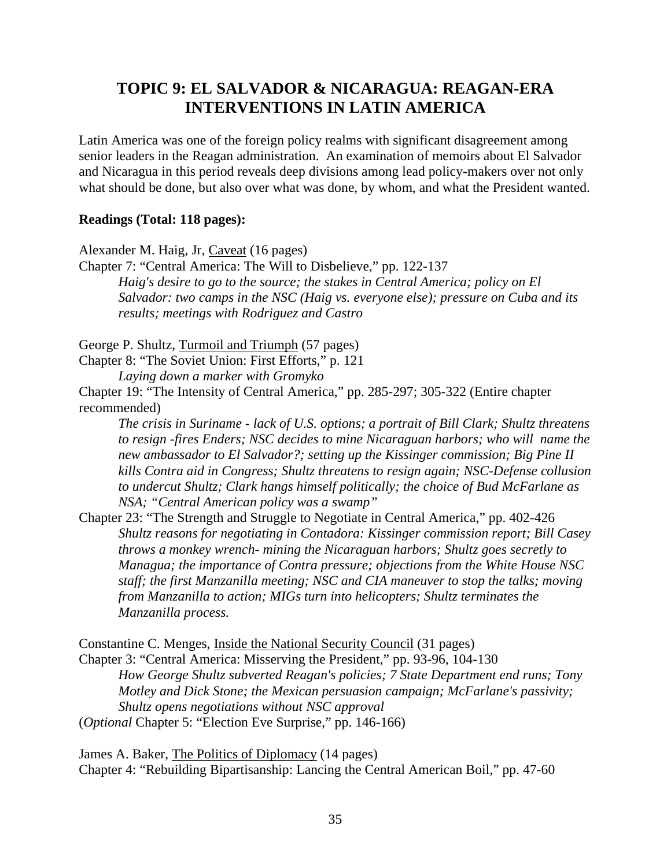# **TOPIC 9: EL SALVADOR & NICARAGUA: REAGAN-ERA INTERVENTIONS IN LATIN AMERICA**

Latin America was one of the foreign policy realms with significant disagreement among senior leaders in the Reagan administration. An examination of memoirs about El Salvador and Nicaragua in this period reveals deep divisions among lead policy-makers over not only what should be done, but also over what was done, by whom, and what the President wanted.

#### **Readings (Total: 118 pages):**

Alexander M. Haig, Jr, Caveat (16 pages)

Chapter 7: "Central America: The Will to Disbelieve," pp. 122-137 *Haig's desire to go to the source; the stakes in Central America; policy on El Salvador: two camps in the NSC (Haig vs. everyone else); pressure on Cuba and its results; meetings with Rodriguez and Castro*

George P. Shultz, Turmoil and Triumph (57 pages)

Chapter 8: "The Soviet Union: First Efforts," p. 121

*Laying down a marker with Gromyko*

Chapter 19: "The Intensity of Central America," pp. 285-297; 305-322 (Entire chapter recommended)

*The crisis in Suriname - lack of U.S. options; a portrait of Bill Clark; Shultz threatens to resign -fires Enders; NSC decides to mine Nicaraguan harbors; who will name the new ambassador to El Salvador?; setting up the Kissinger commission; Big Pine II kills Contra aid in Congress; Shultz threatens to resign again; NSC-Defense collusion to undercut Shultz; Clark hangs himself politically; the choice of Bud McFarlane as NSA; "Central American policy was a swamp"*

Chapter 23: "The Strength and Struggle to Negotiate in Central America," pp. 402-426 *Shultz reasons for negotiating in Contadora: Kissinger commission report; Bill Casey throws a monkey wrench- mining the Nicaraguan harbors; Shultz goes secretly to Managua; the importance of Contra pressure; objections from the White House NSC staff; the first Manzanilla meeting; NSC and CIA maneuver to stop the talks; moving from Manzanilla to action; MIGs turn into helicopters; Shultz terminates the Manzanilla process.*

Constantine C. Menges, Inside the National Security Council (31 pages)

Chapter 3: "Central America: Misserving the President," pp. 93-96, 104-130 *How George Shultz subverted Reagan's policies; 7 State Department end runs; Tony Motley and Dick Stone; the Mexican persuasion campaign; McFarlane's passivity; Shultz opens negotiations without NSC approval* (*Optional* Chapter 5: "Election Eve Surprise," pp. 146-166)

James A. Baker, The Politics of Diplomacy (14 pages) Chapter 4: "Rebuilding Bipartisanship: Lancing the Central American Boil," pp. 47-60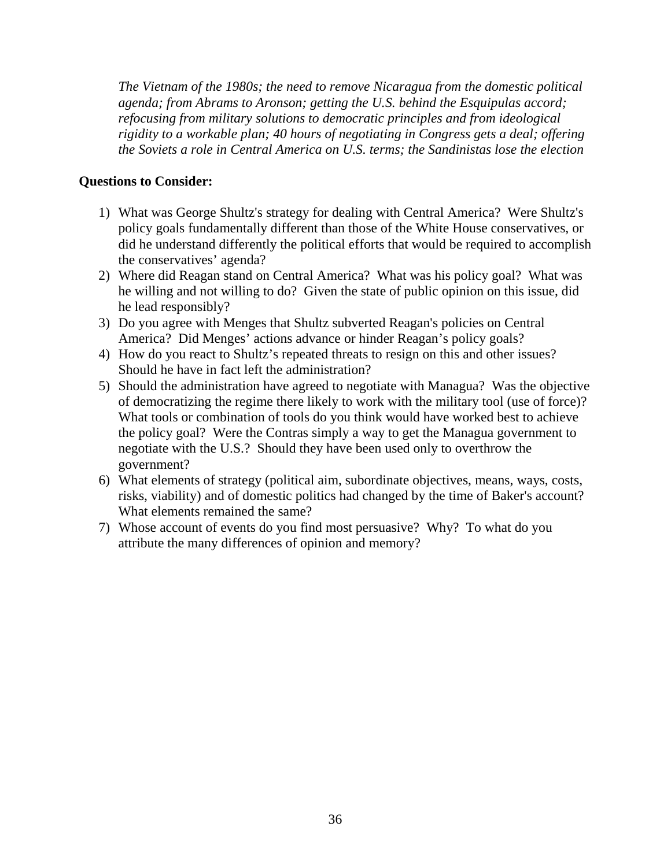*The Vietnam of the 1980s; the need to remove Nicaragua from the domestic political agenda; from Abrams to Aronson; getting the U.S. behind the Esquipulas accord; refocusing from military solutions to democratic principles and from ideological rigidity to a workable plan; 40 hours of negotiating in Congress gets a deal; offering the Soviets a role in Central America on U.S. terms; the Sandinistas lose the election*

#### **Questions to Consider:**

- 1) What was George Shultz's strategy for dealing with Central America? Were Shultz's policy goals fundamentally different than those of the White House conservatives, or did he understand differently the political efforts that would be required to accomplish the conservatives' agenda?
- 2) Where did Reagan stand on Central America? What was his policy goal? What was he willing and not willing to do? Given the state of public opinion on this issue, did he lead responsibly?
- 3) Do you agree with Menges that Shultz subverted Reagan's policies on Central America? Did Menges' actions advance or hinder Reagan's policy goals?
- 4) How do you react to Shultz's repeated threats to resign on this and other issues? Should he have in fact left the administration?
- 5) Should the administration have agreed to negotiate with Managua? Was the objective of democratizing the regime there likely to work with the military tool (use of force)? What tools or combination of tools do you think would have worked best to achieve the policy goal? Were the Contras simply a way to get the Managua government to negotiate with the U.S.? Should they have been used only to overthrow the government?
- 6) What elements of strategy (political aim, subordinate objectives, means, ways, costs, risks, viability) and of domestic politics had changed by the time of Baker's account? What elements remained the same?
- 7) Whose account of events do you find most persuasive? Why? To what do you attribute the many differences of opinion and memory?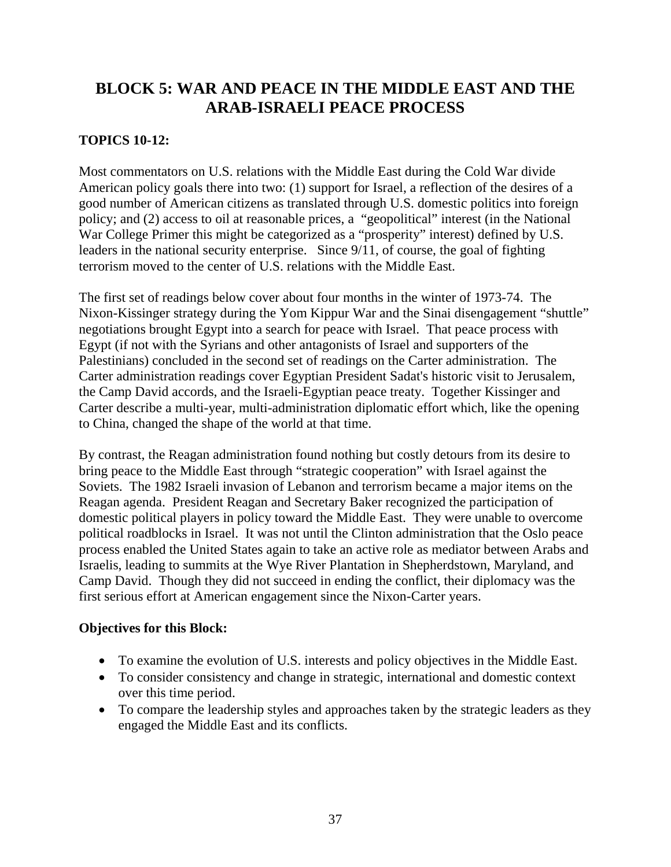# **BLOCK 5: WAR AND PEACE IN THE MIDDLE EAST AND THE ARAB-ISRAELI PEACE PROCESS**

### **TOPICS 10-12:**

Most commentators on U.S. relations with the Middle East during the Cold War divide American policy goals there into two: (1) support for Israel, a reflection of the desires of a good number of American citizens as translated through U.S. domestic politics into foreign policy; and (2) access to oil at reasonable prices, a "geopolitical" interest (in the National War College Primer this might be categorized as a "prosperity" interest) defined by U.S. leaders in the national security enterprise. Since 9/11, of course, the goal of fighting terrorism moved to the center of U.S. relations with the Middle East.

The first set of readings below cover about four months in the winter of 1973-74. The Nixon-Kissinger strategy during the Yom Kippur War and the Sinai disengagement "shuttle" negotiations brought Egypt into a search for peace with Israel. That peace process with Egypt (if not with the Syrians and other antagonists of Israel and supporters of the Palestinians) concluded in the second set of readings on the Carter administration. The Carter administration readings cover Egyptian President Sadat's historic visit to Jerusalem, the Camp David accords, and the Israeli-Egyptian peace treaty. Together Kissinger and Carter describe a multi-year, multi-administration diplomatic effort which, like the opening to China, changed the shape of the world at that time.

By contrast, the Reagan administration found nothing but costly detours from its desire to bring peace to the Middle East through "strategic cooperation" with Israel against the Soviets. The 1982 Israeli invasion of Lebanon and terrorism became a major items on the Reagan agenda. President Reagan and Secretary Baker recognized the participation of domestic political players in policy toward the Middle East. They were unable to overcome political roadblocks in Israel. It was not until the Clinton administration that the Oslo peace process enabled the United States again to take an active role as mediator between Arabs and Israelis, leading to summits at the Wye River Plantation in Shepherdstown, Maryland, and Camp David. Though they did not succeed in ending the conflict, their diplomacy was the first serious effort at American engagement since the Nixon-Carter years.

### **Objectives for this Block:**

- To examine the evolution of U.S. interests and policy objectives in the Middle East.
- To consider consistency and change in strategic, international and domestic context over this time period.
- To compare the leadership styles and approaches taken by the strategic leaders as they engaged the Middle East and its conflicts.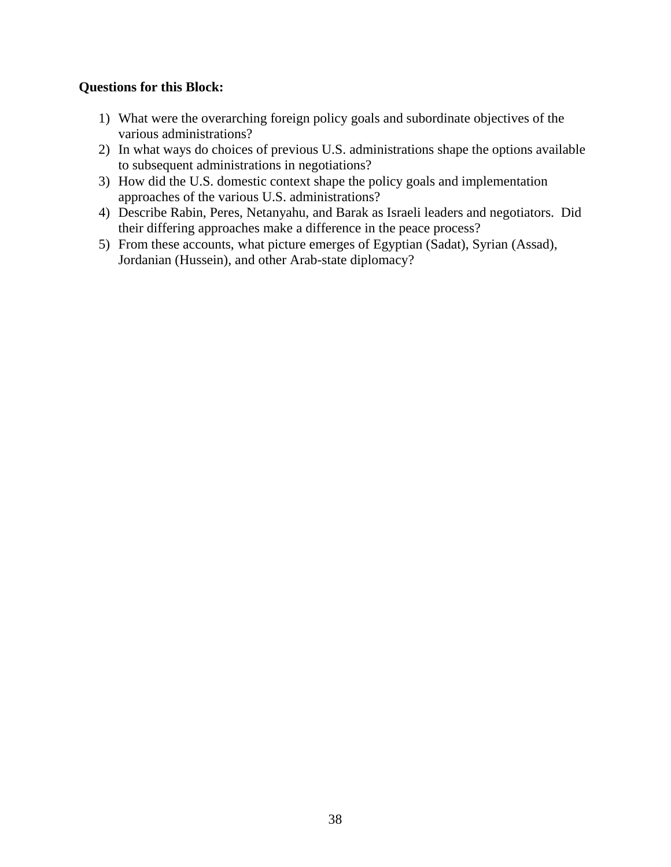#### **Questions for this Block:**

- 1) What were the overarching foreign policy goals and subordinate objectives of the various administrations?
- 2) In what ways do choices of previous U.S. administrations shape the options available to subsequent administrations in negotiations?
- 3) How did the U.S. domestic context shape the policy goals and implementation approaches of the various U.S. administrations?
- 4) Describe Rabin, Peres, Netanyahu, and Barak as Israeli leaders and negotiators. Did their differing approaches make a difference in the peace process?
- 5) From these accounts, what picture emerges of Egyptian (Sadat), Syrian (Assad), Jordanian (Hussein), and other Arab-state diplomacy?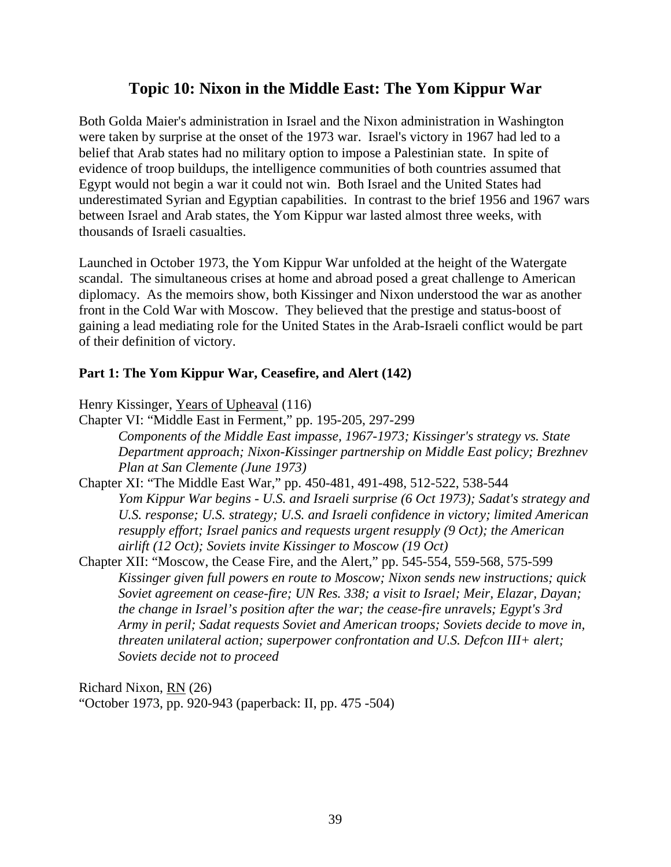# **Topic 10: Nixon in the Middle East: The Yom Kippur War**

Both Golda Maier's administration in Israel and the Nixon administration in Washington were taken by surprise at the onset of the 1973 war. Israel's victory in 1967 had led to a belief that Arab states had no military option to impose a Palestinian state. In spite of evidence of troop buildups, the intelligence communities of both countries assumed that Egypt would not begin a war it could not win. Both Israel and the United States had underestimated Syrian and Egyptian capabilities. In contrast to the brief 1956 and 1967 wars between Israel and Arab states, the Yom Kippur war lasted almost three weeks, with thousands of Israeli casualties.

Launched in October 1973, the Yom Kippur War unfolded at the height of the Watergate scandal. The simultaneous crises at home and abroad posed a great challenge to American diplomacy. As the memoirs show, both Kissinger and Nixon understood the war as another front in the Cold War with Moscow. They believed that the prestige and status-boost of gaining a lead mediating role for the United States in the Arab-Israeli conflict would be part of their definition of victory.

#### **Part 1: The Yom Kippur War, Ceasefire, and Alert (142)**

Henry Kissinger, Years of Upheaval (116)

- Chapter VI: "Middle East in Ferment," pp. 195-205, 297-299 *Components of the Middle East impasse, 1967-1973; Kissinger's strategy vs. State Department approach; Nixon-Kissinger partnership on Middle East policy; Brezhnev Plan at San Clemente (June 1973)*
- Chapter XI: "The Middle East War," pp. 450-481, 491-498, 512-522, 538-544 *Yom Kippur War begins - U.S. and Israeli surprise (6 Oct 1973); Sadat's strategy and U.S. response; U.S. strategy; U.S. and Israeli confidence in victory; limited American resupply effort; Israel panics and requests urgent resupply (9 Oct); the American airlift (12 Oct); Soviets invite Kissinger to Moscow (19 Oct)*
- Chapter XII: "Moscow, the Cease Fire, and the Alert," pp. 545-554, 559-568, 575-599 *Kissinger given full powers en route to Moscow; Nixon sends new instructions; quick Soviet agreement on cease-fire; UN Res. 338; a visit to Israel; Meir, Elazar, Dayan; the change in Israel's position after the war; the cease-fire unravels; Egypt's 3rd Army in peril; Sadat requests Soviet and American troops; Soviets decide to move in, threaten unilateral action; superpower confrontation and U.S. Defcon III+ alert; Soviets decide not to proceed*

Richard Nixon, RN (26) "October 1973, pp. 920-943 (paperback: II, pp. 475 -504)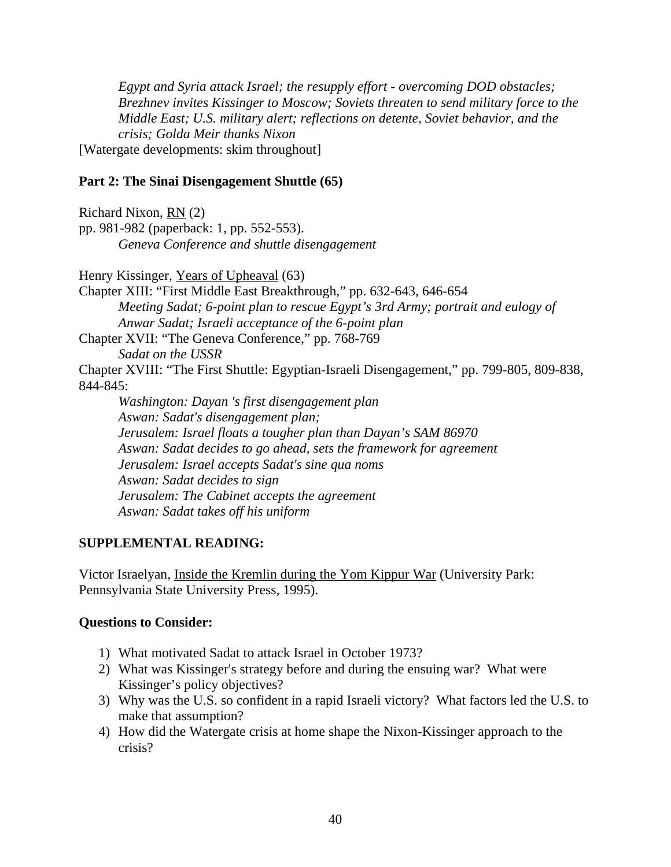*Egypt and Syria attack Israel; the resupply effort - overcoming DOD obstacles; Brezhnev invites Kissinger to Moscow; Soviets threaten to send military force to the Middle East; U.S. military alert; reflections on detente, Soviet behavior, and the crisis; Golda Meir thanks Nixon* [Watergate developments: skim throughout]

#### **Part 2: The Sinai Disengagement Shuttle (65)**

Richard Nixon, RN (2) pp. 981-982 (paperback: 1, pp. 552-553). *Geneva Conference and shuttle disengagement*

Henry Kissinger, Years of Upheaval (63)

Chapter XIII: "First Middle East Breakthrough," pp. 632-643, 646-654 *Meeting Sadat; 6-point plan to rescue Egypt's 3rd Army; portrait and eulogy of Anwar Sadat; Israeli acceptance of the 6-point plan* Chapter XVII: "The Geneva Conference," pp. 768-769

*Sadat on the USSR*

Chapter XVIII: "The First Shuttle: Egyptian-Israeli Disengagement," pp. 799-805, 809-838, 844-845:

*Washington: Dayan 's first disengagement plan Aswan: Sadat's disengagement plan; Jerusalem: Israel floats a tougher plan than Dayan's SAM 86970 Aswan: Sadat decides to go ahead, sets the framework for agreement Jerusalem: Israel accepts Sadat's sine qua noms Aswan: Sadat decides to sign Jerusalem: The Cabinet accepts the agreement Aswan: Sadat takes off his uniform*

#### **SUPPLEMENTAL READING:**

Victor Israelyan, Inside the Kremlin during the Yom Kippur War (University Park: Pennsylvania State University Press, 1995).

#### **Questions to Consider:**

- 1) What motivated Sadat to attack Israel in October 1973?
- 2) What was Kissinger's strategy before and during the ensuing war? What were Kissinger's policy objectives?
- 3) Why was the U.S. so confident in a rapid Israeli victory? What factors led the U.S. to make that assumption?
- 4) How did the Watergate crisis at home shape the Nixon-Kissinger approach to the crisis?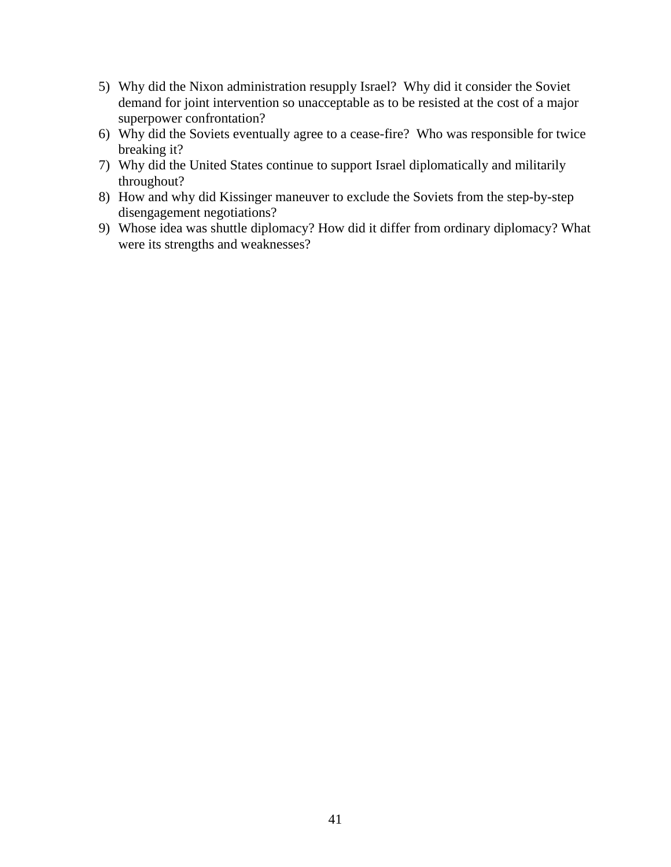- 5) Why did the Nixon administration resupply Israel? Why did it consider the Soviet demand for joint intervention so unacceptable as to be resisted at the cost of a major superpower confrontation?
- 6) Why did the Soviets eventually agree to a cease-fire? Who was responsible for twice breaking it?
- 7) Why did the United States continue to support Israel diplomatically and militarily throughout?
- 8) How and why did Kissinger maneuver to exclude the Soviets from the step-by-step disengagement negotiations?
- 9) Whose idea was shuttle diplomacy? How did it differ from ordinary diplomacy? What were its strengths and weaknesses?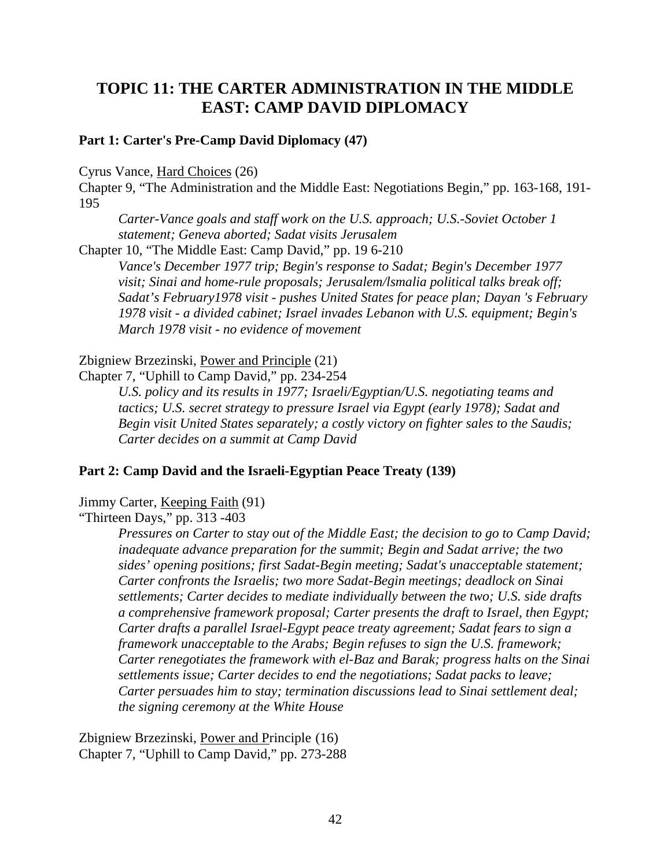# **TOPIC 11: THE CARTER ADMINISTRATION IN THE MIDDLE EAST: CAMP DAVID DIPLOMACY**

#### **Part 1: Carter's Pre-Camp David Diplomacy (47)**

Cyrus Vance, Hard Choices (26)

Chapter 9, "The Administration and the Middle East: Negotiations Begin," pp. 163-168, 191- 195

*Carter-Vance goals and staff work on the U.S. approach; U.S.-Soviet October 1 statement; Geneva aborted; Sadat visits Jerusalem*

Chapter 10, "The Middle East: Camp David," pp. 19 6-210

*Vance's December 1977 trip; Begin's response to Sadat; Begin's December 1977 visit; Sinai and home-rule proposals; Jerusalem/lsmalia political talks break off; Sadat's February1978 visit - pushes United States for peace plan; Dayan 's February 1978 visit - a divided cabinet; Israel invades Lebanon with U.S. equipment; Begin's March 1978 visit - no evidence of movement*

#### Zbigniew Brzezinski, Power and Principle (21)

Chapter 7, "Uphill to Camp David," pp. 234-254

*U.S. policy and its results in 1977; Israeli/Egyptian/U.S. negotiating teams and tactics; U.S. secret strategy to pressure Israel via Egypt (early 1978); Sadat and Begin visit United States separately; a costly victory on fighter sales to the Saudis; Carter decides on a summit at Camp David*

#### **Part 2: Camp David and the Israeli-Egyptian Peace Treaty (139)**

Jimmy Carter, Keeping Faith (91)

"Thirteen Days," pp. 313 -403

*Pressures on Carter to stay out of the Middle East; the decision to go to Camp David; inadequate advance preparation for the summit; Begin and Sadat arrive; the two sides' opening positions; first Sadat-Begin meeting; Sadat's unacceptable statement; Carter confronts the Israelis; two more Sadat-Begin meetings; deadlock on Sinai settlements; Carter decides to mediate individually between the two; U.S. side drafts a comprehensive framework proposal; Carter presents the draft to Israel, then Egypt; Carter drafts a parallel Israel-Egypt peace treaty agreement; Sadat fears to sign a framework unacceptable to the Arabs; Begin refuses to sign the U.S. framework; Carter renegotiates the framework with el-Baz and Barak; progress halts on the Sinai settlements issue; Carter decides to end the negotiations; Sadat packs to leave; Carter persuades him to stay; termination discussions lead to Sinai settlement deal; the signing ceremony at the White House*

Zbigniew Brzezinski, Power and Principle (16) Chapter 7, "Uphill to Camp David," pp. 273-288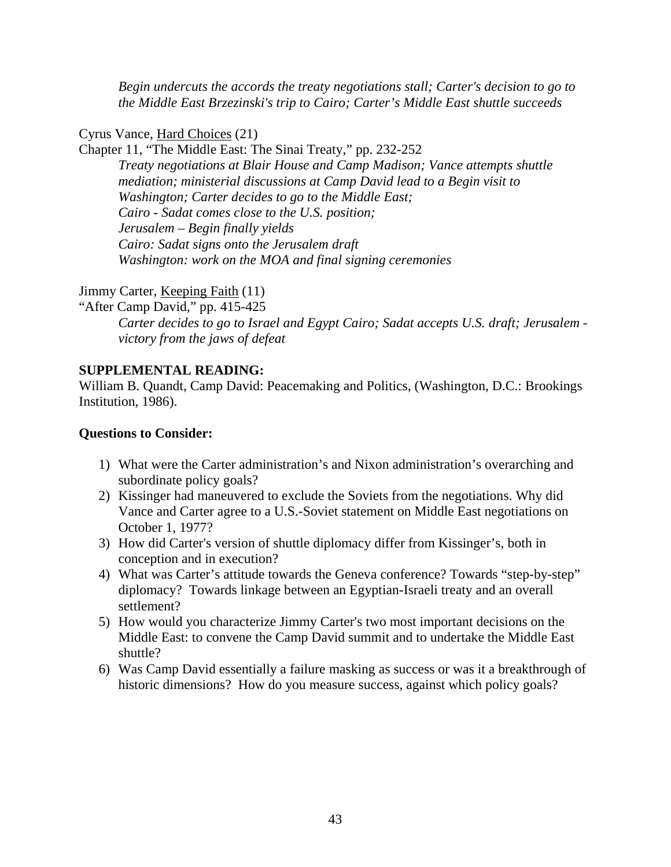*Begin undercuts the accords the treaty negotiations stall; Carter's decision to go to the Middle East Brzezinski's trip to Cairo; Carter's Middle East shuttle succeeds*

Cyrus Vance, Hard Choices (21)

Chapter 11, "The Middle East: The Sinai Treaty," pp. 232-252 *Treaty negotiations at Blair House and Camp Madison; Vance attempts shuttle mediation; ministerial discussions at Camp David lead to a Begin visit to Washington; Carter decides to go to the Middle East; Cairo - Sadat comes close to the U.S. position; Jerusalem – Begin finally yields Cairo: Sadat signs onto the Jerusalem draft Washington: work on the MOA and final signing ceremonies*

Jimmy Carter, Keeping Faith (11)

"After Camp David," pp. 415-425

*Carter decides to go to Israel and Egypt Cairo; Sadat accepts U.S. draft; Jerusalem victory from the jaws of defeat*

#### **SUPPLEMENTAL READING:**

William B. Quandt, Camp David: Peacemaking and Politics, (Washington, D.C.: Brookings Institution, 1986).

#### **Questions to Consider:**

- 1) What were the Carter administration's and Nixon administration's overarching and subordinate policy goals?
- 2) Kissinger had maneuvered to exclude the Soviets from the negotiations. Why did Vance and Carter agree to a U.S.-Soviet statement on Middle East negotiations on October 1, 1977?
- 3) How did Carter's version of shuttle diplomacy differ from Kissinger's, both in conception and in execution?
- 4) What was Carter's attitude towards the Geneva conference? Towards "step-by-step" diplomacy? Towards linkage between an Egyptian-Israeli treaty and an overall settlement?
- 5) How would you characterize Jimmy Carter's two most important decisions on the Middle East: to convene the Camp David summit and to undertake the Middle East shuttle?
- 6) Was Camp David essentially a failure masking as success or was it a breakthrough of historic dimensions? How do you measure success, against which policy goals?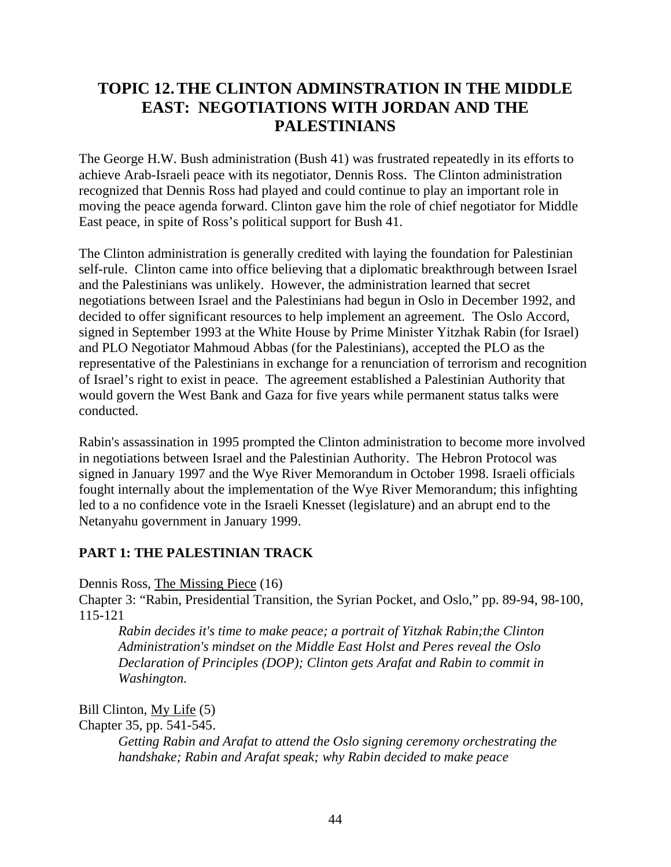# **TOPIC 12.THE CLINTON ADMINSTRATION IN THE MIDDLE EAST: NEGOTIATIONS WITH JORDAN AND THE PALESTINIANS**

The George H.W. Bush administration (Bush 41) was frustrated repeatedly in its efforts to achieve Arab-Israeli peace with its negotiator, Dennis Ross. The Clinton administration recognized that Dennis Ross had played and could continue to play an important role in moving the peace agenda forward. Clinton gave him the role of chief negotiator for Middle East peace, in spite of Ross's political support for Bush 41.

The Clinton administration is generally credited with laying the foundation for Palestinian self-rule. Clinton came into office believing that a diplomatic breakthrough between Israel and the Palestinians was unlikely. However, the administration learned that secret negotiations between Israel and the Palestinians had begun in Oslo in December 1992, and decided to offer significant resources to help implement an agreement. The Oslo Accord, signed in September 1993 at the White House by Prime Minister Yitzhak Rabin (for Israel) and PLO Negotiator Mahmoud Abbas (for the Palestinians), accepted the PLO as the representative of the Palestinians in exchange for a renunciation of terrorism and recognition of Israel's right to exist in peace. The agreement established a Palestinian Authority that would govern the West Bank and Gaza for five years while permanent status talks were conducted.

Rabin's assassination in 1995 prompted the Clinton administration to become more involved in negotiations between Israel and the Palestinian Authority. The Hebron Protocol was signed in January 1997 and the Wye River Memorandum in October 1998. Israeli officials fought internally about the implementation of the Wye River Memorandum; this infighting led to a no confidence vote in the Israeli Knesset (legislature) and an abrupt end to the Netanyahu government in January 1999.

## **PART 1: THE PALESTINIAN TRACK**

Dennis Ross, The Missing Piece (16)

Chapter 3: "Rabin, Presidential Transition, the Syrian Pocket, and Oslo," pp. 89-94, 98-100, 115-121

*Rabin decides it's time to make peace; a portrait of Yitzhak Rabin;the Clinton Administration's mindset on the Middle East Holst and Peres reveal the Oslo Declaration of Principles (DOP); Clinton gets Arafat and Rabin to commit in Washington.*

Bill Clinton, My Life (5)

Chapter 35, pp. 541-545.

*Getting Rabin and Arafat to attend the Oslo signing ceremony orchestrating the handshake; Rabin and Arafat speak; why Rabin decided to make peace*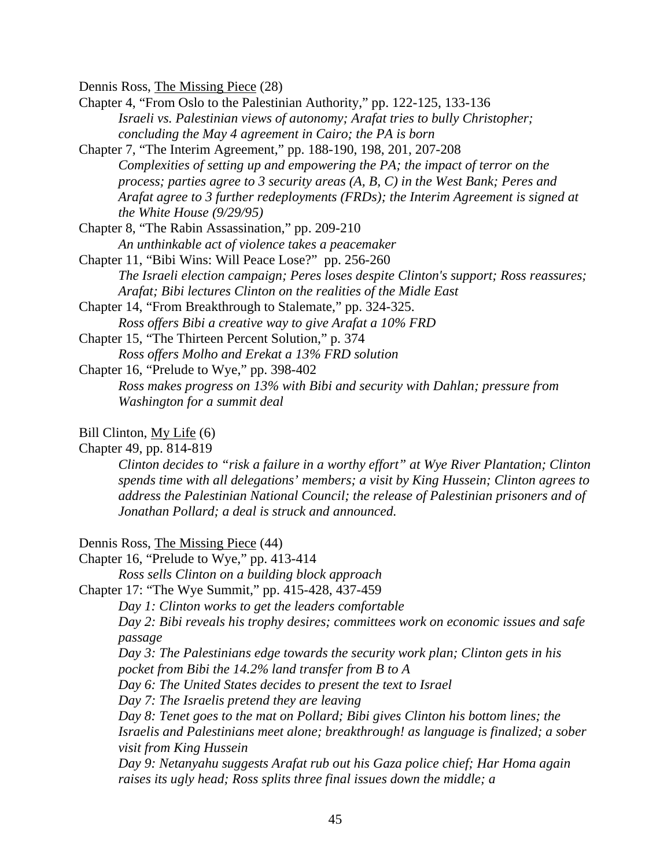Dennis Ross, The Missing Piece (28)

Chapter 4, "From Oslo to the Palestinian Authority," pp. 122-125, 133-136 *Israeli vs. Palestinian views of autonomy; Arafat tries to bully Christopher; concluding the May 4 agreement in Cairo; the PA is born*

Chapter 7, "The Interim Agreement," pp. 188-190, 198, 201, 207-208 *Complexities of setting up and empowering the PA; the impact of terror on the process; parties agree to 3 security areas (A, B, C) in the West Bank; Peres and Arafat agree to 3 further redeployments (FRDs); the Interim Agreement is signed at the White House (9/29/95)*

Chapter 8, "The Rabin Assassination," pp. 209-210 *An unthinkable act of violence takes a peacemaker*

Chapter 11, "Bibi Wins: Will Peace Lose?" pp. 256-260 *The Israeli election campaign; Peres loses despite Clinton's support; Ross reassures; Arafat; Bibi lectures Clinton on the realities of the Midle East*

Chapter 14, "From Breakthrough to Stalemate," pp. 324-325. *Ross offers Bibi a creative way to give Arafat a 10% FRD*

Chapter 15, "The Thirteen Percent Solution," p. 374 *Ross offers Molho and Erekat a 13% FRD solution*

Chapter 16, "Prelude to Wye," pp. 398-402

*Ross makes progress on 13% with Bibi and security with Dahlan; pressure from Washington for a summit deal*

#### Bill Clinton, My Life (6)

Chapter 49, pp. 814-819

*Clinton decides to "risk a failure in a worthy effort" at Wye River Plantation; Clinton spends time with all delegations' members; a visit by King Hussein; Clinton agrees to address the Palestinian National Council; the release of Palestinian prisoners and of Jonathan Pollard; a deal is struck and announced.*

Dennis Ross, The Missing Piece (44)

Chapter 16, "Prelude to Wye," pp. 413-414

*Ross sells Clinton on a building block approach*

Chapter 17: "The Wye Summit," pp. 415-428, 437-459

*Day 1: Clinton works to get the leaders comfortable*

*Day 2: Bibi reveals his trophy desires; committees work on economic issues and safe passage*

*Day 3: The Palestinians edge towards the security work plan; Clinton gets in his* 

*pocket from Bibi the 14.2% land transfer from B to A*

*Day 6: The United States decides to present the text to Israel* 

*Day 7: The Israelis pretend they are leaving*

*Day 8: Tenet goes to the mat on Pollard; Bibi gives Clinton his bottom lines; the Israelis and Palestinians meet alone; breakthrough! as language is finalized; a sober visit from King Hussein*

*Day 9: Netanyahu suggests Arafat rub out his Gaza police chief; Har Homa again raises its ugly head; Ross splits three final issues down the middle; a*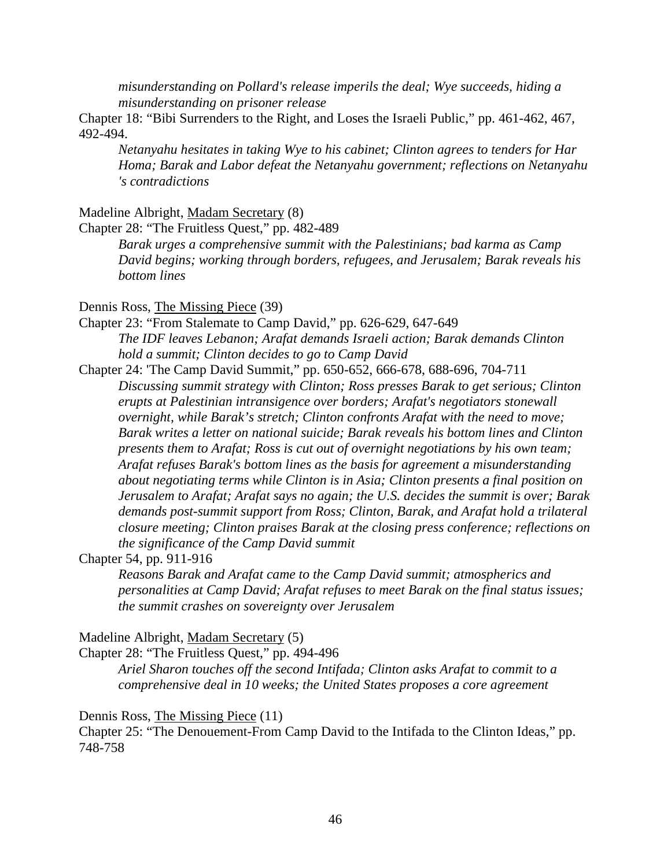*misunderstanding on Pollard's release imperils the deal; Wye succeeds, hiding a misunderstanding on prisoner release*

Chapter 18: "Bibi Surrenders to the Right, and Loses the Israeli Public," pp. 461-462, 467, 492-494.

*Netanyahu hesitates in taking Wye to his cabinet; Clinton agrees to tenders for Har Homa; Barak and Labor defeat the Netanyahu government; reflections on Netanyahu 's contradictions*

#### Madeline Albright, Madam Secretary (8)

Chapter 28: "The Fruitless Quest," pp. 482-489

*Barak urges a comprehensive summit with the Palestinians; bad karma as Camp David begins; working through borders, refugees, and Jerusalem; Barak reveals his bottom lines*

#### Dennis Ross, The Missing Piece (39)

- Chapter 23: "From Stalemate to Camp David," pp. 626-629, 647-649 *The IDF leaves Lebanon; Arafat demands Israeli action; Barak demands Clinton hold a summit; Clinton decides to go to Camp David*
- Chapter 24: 'The Camp David Summit," pp. 650-652, 666-678, 688-696, 704-711 *Discussing summit strategy with Clinton; Ross presses Barak to get serious; Clinton erupts at Palestinian intransigence over borders; Arafat's negotiators stonewall overnight, while Barak's stretch; Clinton confronts Arafat with the need to move; Barak writes a letter on national suicide; Barak reveals his bottom lines and Clinton presents them to Arafat; Ross is cut out of overnight negotiations by his own team; Arafat refuses Barak's bottom lines as the basis for agreement a misunderstanding about negotiating terms while Clinton is in Asia; Clinton presents a final position on Jerusalem to Arafat; Arafat says no again; the U.S. decides the summit is over; Barak demands post-summit support from Ross; Clinton, Barak, and Arafat hold a trilateral closure meeting; Clinton praises Barak at the closing press conference; reflections on the significance of the Camp David summit*

Chapter 54, pp. 911-916

*Reasons Barak and Arafat came to the Camp David summit; atmospherics and personalities at Camp David; Arafat refuses to meet Barak on the final status issues; the summit crashes on sovereignty over Jerusalem*

#### Madeline Albright, Madam Secretary (5)

Chapter 28: "The Fruitless Quest," pp. 494-496

*Ariel Sharon touches off the second Intifada; Clinton asks Arafat to commit to a comprehensive deal in 10 weeks; the United States proposes a core agreement*

Dennis Ross, The Missing Piece (11)

Chapter 25: "The Denouement-From Camp David to the Intifada to the Clinton Ideas," pp. 748-758